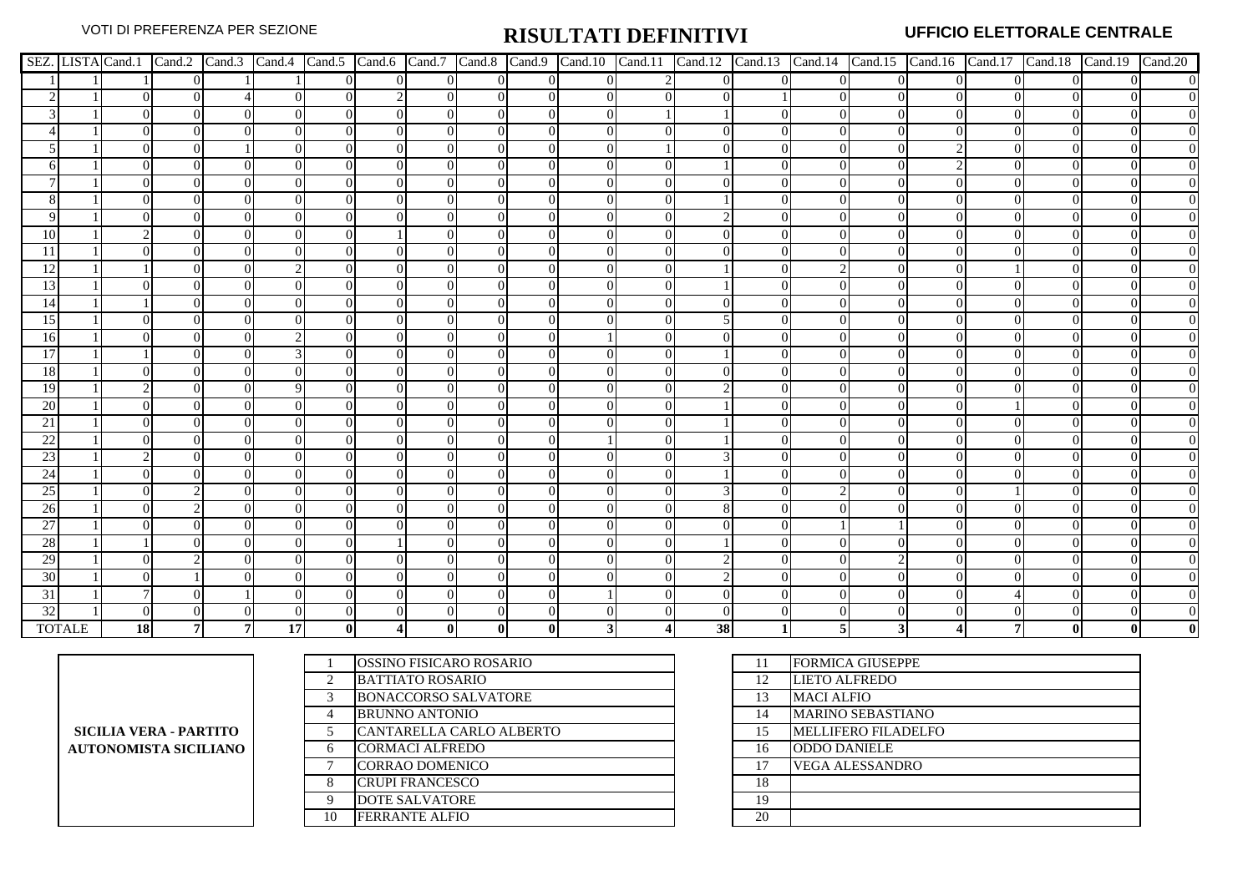|                 |               |    |          |    |          |                |          |          |          |  |          |          |          |          |          | SEZ. LISTA Cand.1   Cand.2   Cand.3   Cand.4   Cand.5   Cand.6   Cand.7   Cand.8   Cand.10   Cand.11   Cand.12   Cand.13   Cand.14   Cand.15   Cand.16   Cand.17   Cand.18   Cand.19   Cand.20 |
|-----------------|---------------|----|----------|----|----------|----------------|----------|----------|----------|--|----------|----------|----------|----------|----------|------------------------------------------------------------------------------------------------------------------------------------------------------------------------------------------------|
|                 |               |    | $\Omega$ |    | $\Omega$ | $\overline{0}$ | $\Omega$ | $\Omega$ | $\Omega$ |  | $\Omega$ | $\Omega$ | $\Omega$ | $\Omega$ | $\Omega$ | $\overline{0}$                                                                                                                                                                                 |
|                 |               |    | $\Omega$ |    |          |                |          |          |          |  |          |          |          |          |          |                                                                                                                                                                                                |
|                 |               |    | $\Omega$ |    |          | $\Omega$       |          | 0        | $\Omega$ |  |          | 0        | $\Omega$ |          |          |                                                                                                                                                                                                |
|                 |               |    | $\Omega$ |    |          | $\Omega$       |          |          | $\Omega$ |  |          | 0        | $\Omega$ |          |          | $\overline{0}$                                                                                                                                                                                 |
|                 |               |    |          |    |          | $\Omega$       |          | 0        | $\Omega$ |  |          | 0        | $\Omega$ |          |          | $\overline{0}$                                                                                                                                                                                 |
|                 |               |    |          |    |          |                |          |          |          |  |          |          | $\Omega$ |          |          | $\overline{0}$                                                                                                                                                                                 |
|                 |               |    |          |    |          |                |          |          |          |  |          |          |          |          |          |                                                                                                                                                                                                |
|                 |               |    |          |    |          | $\Omega$       |          |          |          |  |          |          |          |          |          | $\overline{0}$                                                                                                                                                                                 |
|                 |               |    |          |    |          |                |          |          |          |  |          |          |          |          |          | $\overline{0}$                                                                                                                                                                                 |
| 10              |               |    |          |    |          |                |          |          |          |  |          |          |          |          |          | $\overline{0}$                                                                                                                                                                                 |
| 11              |               |    |          |    |          |                |          |          |          |  |          |          |          |          |          |                                                                                                                                                                                                |
| 12              |               |    |          |    |          |                |          |          |          |  |          |          |          |          |          |                                                                                                                                                                                                |
| 13              |               |    |          |    |          | $\Omega$       |          |          |          |  |          |          |          |          |          |                                                                                                                                                                                                |
| 14              |               |    |          |    |          | $\Omega$       |          |          |          |  |          |          | ∩        |          |          |                                                                                                                                                                                                |
| 15              |               |    |          |    |          |                |          |          |          |  |          |          | $\Omega$ |          |          |                                                                                                                                                                                                |
| 16              |               |    |          |    |          |                |          |          |          |  |          |          |          |          |          | $\overline{0}$                                                                                                                                                                                 |
| 17              |               |    |          |    |          | $\Omega$       |          |          |          |  |          |          |          |          |          | $\overline{0}$                                                                                                                                                                                 |
| 18              |               |    |          |    |          |                |          |          |          |  |          |          |          |          |          |                                                                                                                                                                                                |
| 19              |               |    |          |    |          | $\Omega$       |          |          |          |  |          |          |          |          |          |                                                                                                                                                                                                |
| 20              |               |    |          |    |          |                |          |          |          |  |          |          |          |          |          | $\overline{0}$                                                                                                                                                                                 |
| $\overline{21}$ |               |    |          |    |          |                |          |          |          |  |          |          |          |          |          |                                                                                                                                                                                                |
| $\overline{22}$ |               |    |          |    |          |                |          |          |          |  |          |          |          |          |          |                                                                                                                                                                                                |
| 23              |               |    |          |    |          |                |          |          |          |  |          |          |          |          |          |                                                                                                                                                                                                |
| 24              |               |    |          |    |          |                |          |          |          |  |          |          |          |          |          |                                                                                                                                                                                                |
| 25              |               |    |          |    |          | $\Omega$       |          |          |          |  |          |          |          |          |          |                                                                                                                                                                                                |
| 26              |               |    |          |    |          |                |          |          |          |  |          |          |          |          |          | $\overline{0}$                                                                                                                                                                                 |
| 27              |               |    |          |    |          |                |          |          |          |  |          |          |          |          |          | $\overline{0}$                                                                                                                                                                                 |
| 28              |               |    |          |    |          |                |          |          |          |  |          |          |          |          |          | $\overline{0}$                                                                                                                                                                                 |
| 29              |               |    |          |    |          |                |          |          |          |  |          |          |          |          |          |                                                                                                                                                                                                |
| 30              |               |    |          |    |          | $\Omega$       |          |          | $\Omega$ |  |          | 0        | $\Omega$ |          |          | $\overline{0}$                                                                                                                                                                                 |
| 31              |               |    |          |    |          |                |          |          |          |  |          |          |          |          |          | $\overline{0}$                                                                                                                                                                                 |
| 32              |               |    |          |    |          |                |          |          |          |  |          |          |          |          |          |                                                                                                                                                                                                |
|                 | <b>TOTALE</b> | 18 |          | 17 |          |                |          |          |          |  | 38       |          |          |          |          |                                                                                                                                                                                                |

**SICILIA VERA - PARTITO AUTONOMISTA SICILIANO**

|                        | OSSINO FISICARO ROSARIO     | 11 |
|------------------------|-----------------------------|----|
| $\mathcal{D}_{\alpha}$ | <b>BATTIATO ROSARIO</b>     | 12 |
| 3                      | <b>BONACCORSO SALVATORE</b> | 13 |
| 4                      | <b>BRUNNO ANTONIO</b>       | 14 |
| 5                      | CANTARELLA CARLO ALBERTO    | 15 |
| 6                      | <b>CORMACI ALFREDO</b>      | 16 |
|                        | <b>CORRAO DOMENICO</b>      | 17 |
| 8                      | <b>CRUPI FRANCESCO</b>      | 18 |
| Q                      | <b>DOTE SALVATORE</b>       | 19 |
| 10                     | <b>FERRANTE ALFIO</b>       | 20 |

| 11 | <b>FORMICA GIUSEPPE</b>    |
|----|----------------------------|
| 12 | <b>LIETO ALFREDO</b>       |
| 13 | <b>MACI ALFIO</b>          |
| 14 | <b>MARINO SEBASTIANO</b>   |
| 15 | <b>MELLIFERO FILADELFO</b> |
| 16 | <b>ODDO DANIELE</b>        |
| 17 | <b>VEGA ALESSANDRO</b>     |
| 18 |                            |
| 19 |                            |
| 20 |                            |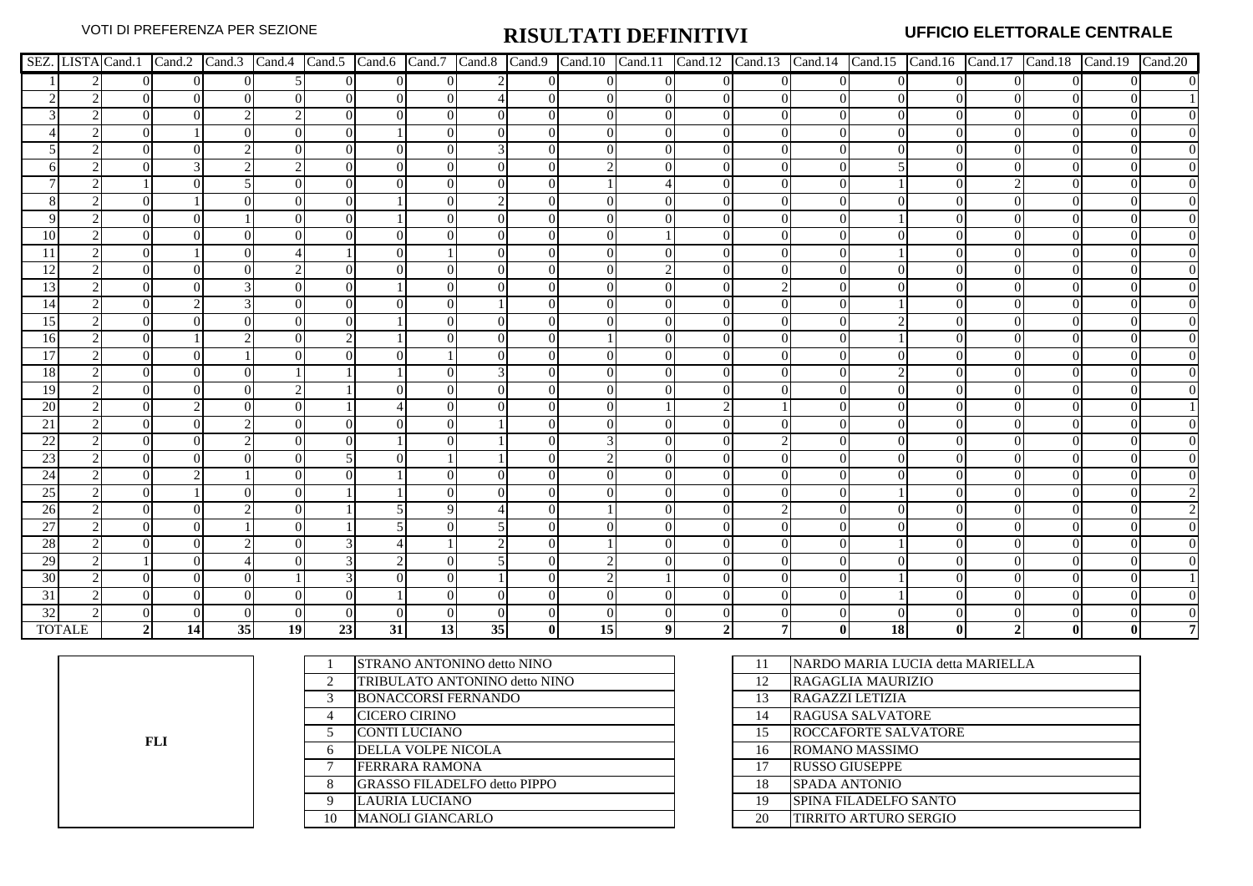|                 |               |                |          |                |    |    |                |          |    |              |                 |                |                |                |                |           |          |          | SEZ. LISTA Cand.1 Cand.2 Cand.3 Cand.4 Cand.5 Cand.6 Cand.7 Cand.8 Cand.9 Cand.10 Cand.11 Cand.12 Cand.13 Cand.14 Cand.15 Cand.16 Cand.17 Cand.18 Cand.19 Cand.19 Cand.20 |
|-----------------|---------------|----------------|----------|----------------|----|----|----------------|----------|----|--------------|-----------------|----------------|----------------|----------------|----------------|-----------|----------|----------|---------------------------------------------------------------------------------------------------------------------------------------------------------------------------|
|                 |               |                | $\Omega$ | $\overline{0}$ |    |    | $\overline{0}$ | $\Omega$ |    | $\Omega$     | $\Omega$        | $\overline{0}$ | $\overline{0}$ | $\overline{0}$ | $\overline{0}$ |           | $\Omega$ | $\Omega$ |                                                                                                                                                                           |
|                 |               |                | $\Omega$ | $\Omega$       |    |    | $\overline{0}$ | $\Omega$ |    |              | $\Omega$        | $\overline{0}$ | $\Omega$       | $\theta$       | $\Omega$       |           | $\Omega$ |          |                                                                                                                                                                           |
|                 |               |                |          | C.             |    |    | $\Omega$       | $\Omega$ |    |              | $\Omega$        | $\Omega$       | $\Omega$       | $\mathbf{0}$   | $\Omega$       |           |          | $\Omega$ |                                                                                                                                                                           |
|                 |               |                |          |                |    |    |                | $\Omega$ |    |              |                 |                |                |                | $\Omega$       |           |          |          |                                                                                                                                                                           |
|                 |               |                |          |                |    |    | $\Omega$       |          | 3  |              |                 |                |                |                | $\Omega$       |           |          |          |                                                                                                                                                                           |
|                 |               |                |          |                |    |    | $\Omega$       |          |    |              |                 |                |                | $\theta$       | $\Omega$       |           |          |          |                                                                                                                                                                           |
|                 |               |                |          |                |    |    |                |          |    |              |                 |                |                |                | 0              |           |          |          |                                                                                                                                                                           |
|                 |               |                |          |                |    |    |                |          |    | ∩            |                 |                |                |                | $\Omega$       |           |          |          |                                                                                                                                                                           |
|                 |               |                |          |                |    |    |                |          |    |              |                 |                |                |                | $\Omega$       |           |          |          |                                                                                                                                                                           |
| 10              |               |                |          |                |    |    |                |          |    |              |                 |                |                | 0              |                |           |          |          |                                                                                                                                                                           |
|                 |               |                |          |                |    |    |                |          |    |              |                 |                |                |                |                |           |          |          |                                                                                                                                                                           |
|                 |               |                |          |                |    |    |                |          |    |              |                 |                |                |                |                |           |          |          |                                                                                                                                                                           |
| 13              |               |                |          |                |    |    |                |          |    |              |                 |                |                |                |                |           |          |          |                                                                                                                                                                           |
| 14              |               |                |          |                |    |    |                | $\Omega$ |    |              |                 |                |                |                | $\Omega$       |           |          |          |                                                                                                                                                                           |
| 15              |               |                |          |                |    |    |                | $\Omega$ |    |              |                 |                |                |                | $\Omega$       |           |          |          |                                                                                                                                                                           |
| 16              |               |                |          |                |    |    |                |          |    |              |                 |                |                | $\Omega$       | $\Omega$       |           |          |          |                                                                                                                                                                           |
| 17              |               |                |          |                |    |    |                |          |    |              |                 |                |                |                |                |           |          |          |                                                                                                                                                                           |
| <b>18</b>       |               |                |          |                |    |    |                |          |    |              |                 |                |                |                | 0              |           |          |          |                                                                                                                                                                           |
| 19              |               |                |          | ∩              |    |    |                |          |    |              |                 |                |                |                | 0              |           |          |          |                                                                                                                                                                           |
| 20              |               |                |          |                |    |    |                |          |    |              |                 |                |                |                |                |           |          |          |                                                                                                                                                                           |
| 21              |               |                |          |                |    |    |                |          |    |              |                 |                |                |                |                |           |          |          |                                                                                                                                                                           |
| 22              |               |                |          |                |    |    |                |          |    |              |                 |                |                |                |                |           |          |          |                                                                                                                                                                           |
| 23              |               |                |          |                |    |    |                |          |    |              |                 |                |                |                |                |           |          |          |                                                                                                                                                                           |
| 24              |               |                |          |                |    |    |                |          |    |              |                 |                |                |                | 0              |           |          |          |                                                                                                                                                                           |
| 25              |               |                |          | $\Omega$       |    |    |                |          |    | ∩            |                 |                |                |                | $\Omega$       |           |          |          |                                                                                                                                                                           |
| 26              |               |                |          |                |    |    |                | $\Omega$ |    |              |                 |                |                | $\mathfrak{D}$ | $\Omega$       |           |          |          |                                                                                                                                                                           |
| $\overline{27}$ |               |                |          |                |    |    |                |          |    |              |                 |                |                | 0              | $\Omega$       |           |          |          |                                                                                                                                                                           |
| 28              |               |                |          |                |    |    |                |          |    |              |                 |                |                |                |                |           |          |          |                                                                                                                                                                           |
| 29              |               |                |          |                |    |    |                |          |    |              |                 |                |                |                | $\Omega$       |           |          |          |                                                                                                                                                                           |
| 30              |               |                |          |                |    |    |                | $\Omega$ |    | ∩            |                 |                |                |                | $\Omega$       |           |          |          |                                                                                                                                                                           |
| 31              |               |                |          |                |    |    |                |          |    |              |                 |                |                |                |                |           |          |          |                                                                                                                                                                           |
| 32              |               |                |          |                |    |    |                |          |    |              |                 |                |                |                |                |           |          |          |                                                                                                                                                                           |
|                 | <b>TOTALE</b> | $\overline{2}$ | 14       | 35             | 19 | 23 | 31             | 13       | 35 | $\mathbf{0}$ | 15 <sup>1</sup> |                |                |                | 0l             | <b>18</b> | $\bf{0}$ | Λl       |                                                                                                                                                                           |

**FLI**

|              | <b>STRANO ANTONINO detto NINO</b>   |    | NARDO MARIA LUCIA detta MARIELLA |
|--------------|-------------------------------------|----|----------------------------------|
| ↑            | TRIBULATO ANTONINO detto NINO       | 12 | RAGAGLIA MAURIZIO                |
| 3            | <b>BONACCORSI FERNANDO</b>          | 13 | RAGAZZI LETIZIA                  |
| 4            | <b>CICERO CIRINO</b>                | 14 | <b>RAGUSA SALVATORE</b>          |
|              | <b>CONTI LUCIANO</b>                | 15 | <b>ROCCAFORTE SALVATORE</b>      |
| 6            | <b>DELLA VOLPE NICOLA</b>           | 16 | ROMANO MASSIMO                   |
| $\mathbf{r}$ | <b>FERRARA RAMONA</b>               | 17 | <b>RUSSO GIUSEPPE</b>            |
| 8            | <b>GRASSO FILADELFO detto PIPPO</b> | 18 | <b>SPADA ANTONIO</b>             |
| 9            | <b>LAURIA LUCIANO</b>               | 19 | SPINA FILADELFO SANTO            |
| 10           | <b>MANOLI GIANCARLO</b>             | 20 | TIRRITO ARTURO SERGIO            |
|              |                                     |    |                                  |

| 11 | <b>INARDO MARIA LUCIA detta MARIELLA</b> |
|----|------------------------------------------|
| 12 | RAGAGLIA MAURIZIO                        |
| 13 | RAGAZZI LETIZIA                          |
| 14 | <b>RAGUSA SALVATORE</b>                  |
| 15 | <b>ROCCAFORTE SALVATORE</b>              |
| 16 | ROMANO MASSIMO                           |
| 17 | <b>RUSSO GIUSEPPE</b>                    |
| 18 | <b>SPADA ANTONIO</b>                     |
| 19 | SPINA FILADELFO SANTO                    |
| 20 | <b>TIRRITO ARTURO SERGIO</b>             |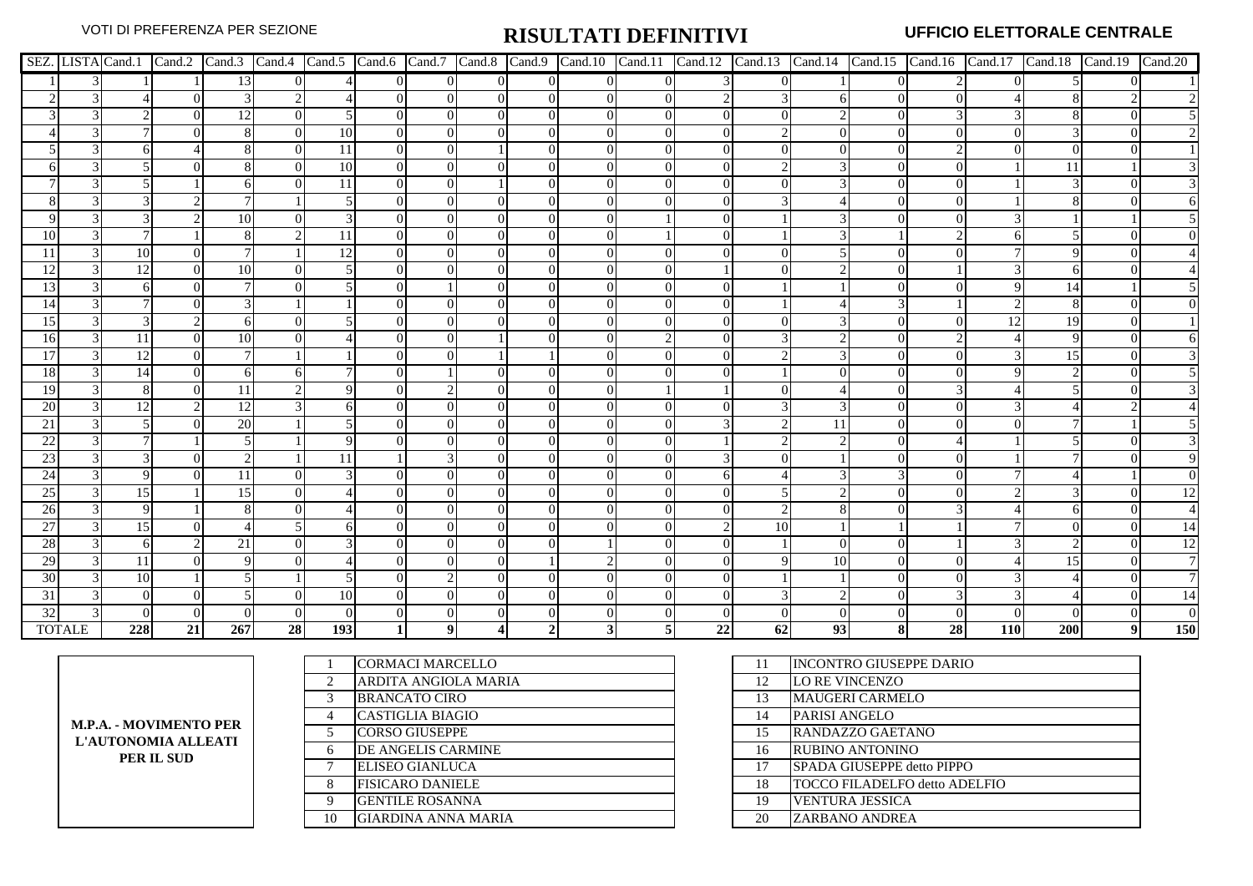|               |               |           |          |     |    |     |                |          |                |          |          |                |    |          |    |    |    |     |     | SEZ. LISTA Cand.1 Cand.2 Cand.3 Cand.4 Cand.5 Cand.6 Cand.7 Cand.8 Cand.9 Cand.10 Cand.11 Cand.12 Cand.13 Cand.14 Cand.15 Cand.16 Cand.17 Cand.18 Cand.19 Cand.19 Cand.20 |     |
|---------------|---------------|-----------|----------|-----|----|-----|----------------|----------|----------------|----------|----------|----------------|----|----------|----|----|----|-----|-----|---------------------------------------------------------------------------------------------------------------------------------------------------------------------------|-----|
|               |               |           |          | 13  |    |     | $\overline{0}$ | $\Omega$ | $\overline{0}$ | $\Omega$ | $\Omega$ | $\overline{0}$ |    | $\Omega$ |    |    |    |     |     |                                                                                                                                                                           |     |
|               |               |           |          |     |    |     |                |          |                |          |          |                |    |          |    |    |    |     |     |                                                                                                                                                                           |     |
|               |               |           |          |     |    |     | $\Omega$       |          |                |          |          |                |    |          |    |    |    |     |     |                                                                                                                                                                           |     |
|               |               |           |          |     |    | 10  | $\overline{0}$ |          |                |          |          |                |    |          |    |    |    |     |     |                                                                                                                                                                           |     |
|               |               |           |          |     |    | 11  | $\overline{0}$ |          |                |          |          |                |    |          |    |    |    |     |     |                                                                                                                                                                           |     |
|               |               |           |          |     |    | 10  | $\overline{0}$ |          |                | $\Omega$ |          |                |    | C        |    |    |    |     |     |                                                                                                                                                                           |     |
|               |               |           |          |     |    | 11  | $\Omega$       |          |                |          |          |                |    |          |    |    |    |     |     |                                                                                                                                                                           |     |
|               |               |           |          |     |    |     | $\Omega$       |          |                |          |          |                |    |          |    |    |    |     |     |                                                                                                                                                                           |     |
|               |               |           |          | 10  |    |     | $\Omega$       |          |                |          |          |                |    |          |    |    |    |     |     |                                                                                                                                                                           |     |
|               |               |           |          |     |    |     | $\Omega$       |          |                |          |          |                |    |          |    |    |    |     |     |                                                                                                                                                                           |     |
| 11            |               | <b>10</b> | $\Omega$ |     |    | 12  | $\Omega$       |          |                |          |          |                |    |          |    |    |    |     |     |                                                                                                                                                                           |     |
| 12            |               | 12        | $\Omega$ | 10  |    |     |                |          |                |          |          |                |    |          |    |    |    |     |     |                                                                                                                                                                           |     |
| 13            |               |           |          |     |    |     |                |          |                |          |          |                |    |          |    |    |    |     | 14  |                                                                                                                                                                           |     |
| 14            |               |           |          |     |    |     | $\Omega$       |          |                |          |          |                |    |          |    |    |    |     |     |                                                                                                                                                                           |     |
| 15            |               |           |          | 6   |    |     | $\Omega$       |          |                |          |          |                |    |          |    |    |    | 12  | 19  |                                                                                                                                                                           |     |
| 16            |               | 11        | $\Omega$ | 10  |    |     |                |          |                |          |          |                |    |          |    |    |    |     |     |                                                                                                                                                                           |     |
| 17            |               | 12        | $\Omega$ |     |    |     | $\Omega$       |          |                |          |          |                |    | $\gamma$ |    |    |    |     | 15  |                                                                                                                                                                           |     |
| 18            |               | 14        |          | 61  |    |     |                |          |                |          |          |                |    |          |    |    |    |     |     |                                                                                                                                                                           |     |
| <sup>19</sup> |               | 8         | $\Omega$ | 11  |    |     | $\Omega$       |          |                |          |          |                |    |          |    |    |    |     |     |                                                                                                                                                                           |     |
| 20            |               | 12.       |          | 12  |    |     | $\Omega$       |          |                |          |          |                |    |          |    |    |    |     |     |                                                                                                                                                                           |     |
| 21            |               |           |          | 20  |    |     |                |          |                |          |          |                |    |          |    |    |    |     |     |                                                                                                                                                                           |     |
| 22            |               |           |          |     |    |     |                |          |                |          |          |                |    |          |    |    |    |     |     |                                                                                                                                                                           |     |
| 23            |               |           |          |     |    |     |                |          |                |          |          |                |    |          |    |    |    |     |     |                                                                                                                                                                           |     |
| 24            |               |           |          | 11  |    |     |                |          |                |          |          |                |    |          |    |    |    |     |     |                                                                                                                                                                           |     |
| 25            |               | 15        |          | 15  |    |     | $\Omega$       |          |                |          |          |                |    |          |    |    |    |     |     |                                                                                                                                                                           |     |
| 26            |               | Q         |          |     |    |     | $\Omega$       |          |                |          |          |                |    |          |    |    |    |     |     |                                                                                                                                                                           |     |
| 27            |               | 15        | $\Omega$ |     |    |     |                |          |                |          |          |                |    | 10       |    |    |    |     |     |                                                                                                                                                                           |     |
| 28            |               |           |          | 21  |    |     |                |          |                |          |          |                |    |          |    |    |    |     |     |                                                                                                                                                                           | 12  |
| 29            |               | 11        |          |     |    |     |                |          |                |          |          |                |    |          | 10 |    |    |     | 15  |                                                                                                                                                                           |     |
| 30            |               | <b>10</b> |          |     |    |     | $\Omega$       |          |                |          |          |                |    |          |    |    |    |     |     |                                                                                                                                                                           |     |
| 31            |               | 0         |          |     |    | 10  | $\Omega$       |          |                |          |          |                |    |          |    |    |    |     |     |                                                                                                                                                                           |     |
| 32            |               |           |          |     |    |     |                |          |                |          |          |                |    |          |    |    |    |     |     |                                                                                                                                                                           |     |
|               | <b>TOTALE</b> | 228       | 21       | 267 | 28 | 193 |                |          |                |          |          |                | 22 | 62       | 93 | 81 | 28 | 110 | 200 |                                                                                                                                                                           | 150 |

|                        |    | <b>CORMACI MARCELLO</b>  |    | <b>INCONTRO GIUSEPPE DARIO</b>       |
|------------------------|----|--------------------------|----|--------------------------------------|
|                        |    | ARDITA ANGIOLA MARIA     | 12 | LO RE VINCENZO                       |
|                        |    | <b>BRANCATO CIRO</b>     | 13 | <b>MAUGERI CARMELO</b>               |
| M.P.A. - MOVIMENTO PER |    | <b>CASTIGLIA BIAGIO</b>  | 14 | <b>PARISI ANGELO</b>                 |
| L'AUTONOMIA ALLEATI    |    | <b>CORSO GIUSEPPE</b>    | 15 | RANDAZZO GAETANO                     |
| PER IL SUD             |    | DE ANGELIS CARMINE       | 16 | <b>RUBINO ANTONINO</b>               |
|                        |    | <b>ELISEO GIANLUCA</b>   | 17 | SPADA GIUSEPPE detto PIPPO           |
|                        |    | <b>IFISICARO DANIELE</b> | 18 | <b>TOCCO FILADELFO detto ADELFIO</b> |
|                        |    | <b>GENTILE ROSANNA</b>   | 19 | <b>VENTURA JESSICA</b>               |
|                        | 10 | GIARDINA ANNA MARIA      | 20 | <b>ZARBANO ANDREA</b>                |
|                        |    |                          |    |                                      |

| 11 | <b>INCONTRO GIUSEPPE DARIO</b>       |
|----|--------------------------------------|
| 12 | <b>LO RE VINCENZO</b>                |
| 13 | <b>MAUGERI CARMELO</b>               |
| 14 | PARISI ANGELO                        |
| 15 | RANDAZZO GAETANO                     |
| 16 | <b>RUBINO ANTONINO</b>               |
| 17 | SPADA GIUSEPPE detto PIPPO           |
| 18 | <b>TOCCO FILADELFO detto ADELFIO</b> |
| 19 | <b>VENTURA JESSICA</b>               |
| 20 | ZARBANO ANDREA                       |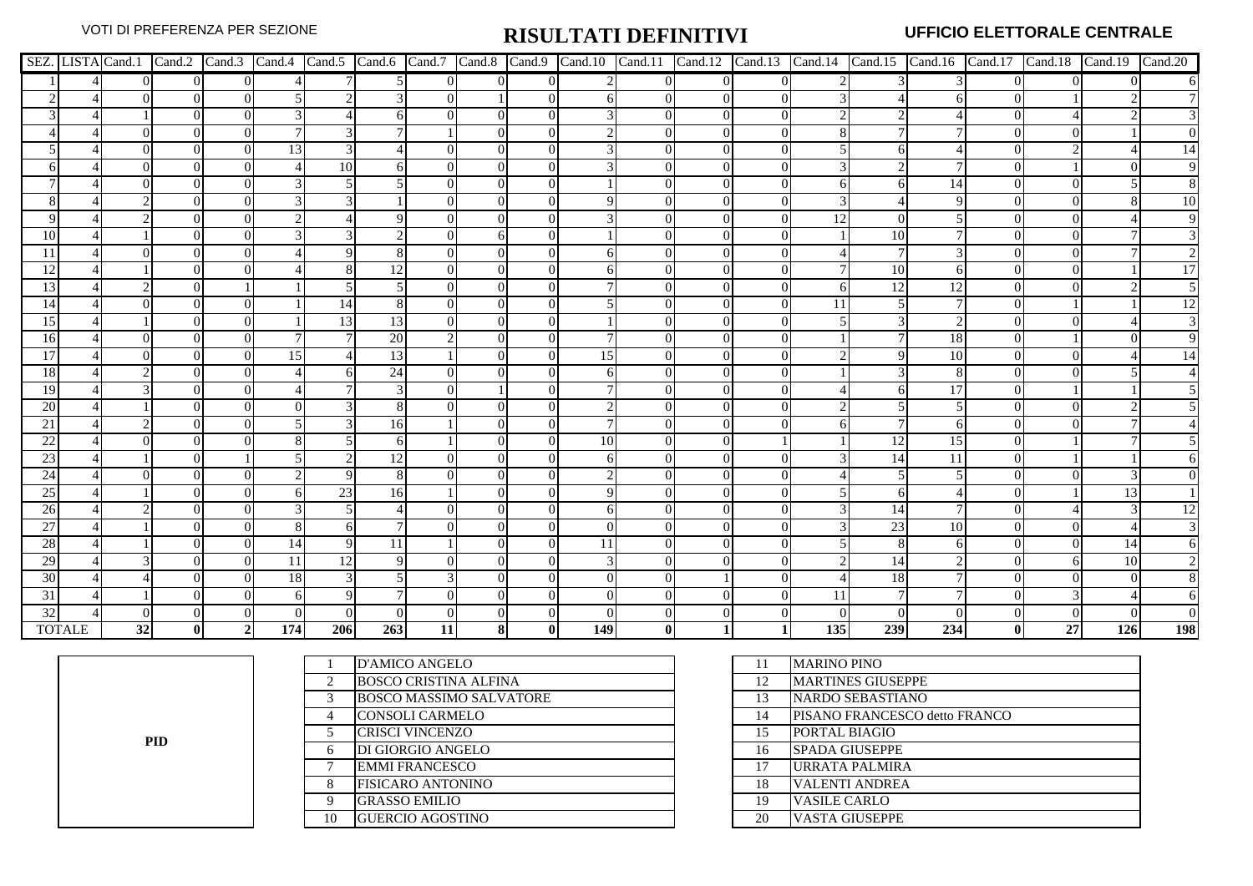|                 |               |    |                |                |     |     |              |          |                |                |     |                |                |                |     |     |     |              |          | SEZ. LISTA Cand.1 Cand.2 Cand.3 Cand.4 Cand.5 Cand.6 Cand.7 Cand.8 Cand.9 Cand.10 Cand.11 Cand.12 Cand.13 Cand.14 Cand.15 Cand.16 Cand.17 Cand.18 Cand.19 Cand.19 Cand.20 |     |
|-----------------|---------------|----|----------------|----------------|-----|-----|--------------|----------|----------------|----------------|-----|----------------|----------------|----------------|-----|-----|-----|--------------|----------|---------------------------------------------------------------------------------------------------------------------------------------------------------------------------|-----|
|                 |               |    | $\overline{0}$ | $\overline{0}$ |     |     |              | $\Omega$ | $\overline{0}$ | $\overline{0}$ |     | $\overline{0}$ | $\overline{0}$ | $\overline{0}$ |     |     |     |              | $\Omega$ |                                                                                                                                                                           |     |
|                 |               |    | $\overline{0}$ | $\Omega$       |     |     |              |          |                | $\Omega$       |     | 0              | $\Omega$       | $\overline{0}$ |     |     |     |              |          |                                                                                                                                                                           |     |
|                 |               |    | $\Omega$       | $\Omega$       |     |     |              |          |                | $\left($       |     | $\Omega$       |                | 0              |     |     |     |              |          |                                                                                                                                                                           |     |
|                 |               |    | $\Omega$       | $\Omega$       |     |     |              |          |                | $\Omega$       |     |                |                | 0              |     |     |     |              |          |                                                                                                                                                                           |     |
|                 |               |    |                | $\Omega$       | 13  |     |              |          | 0              | $\Omega$       |     |                |                | $\Omega$       |     |     |     |              |          |                                                                                                                                                                           |     |
|                 |               |    |                |                |     | 10  |              |          |                | $\theta$       |     |                |                | $\overline{0}$ |     |     |     |              |          |                                                                                                                                                                           |     |
|                 |               |    |                |                |     |     |              |          |                | $\Omega$       |     |                |                |                |     |     | 14  |              |          |                                                                                                                                                                           |     |
|                 |               |    |                |                |     |     |              |          |                | $\Omega$       |     |                |                | $\theta$       |     |     |     |              |          |                                                                                                                                                                           | 10  |
|                 |               |    |                |                |     |     |              |          |                | $\Omega$       |     |                |                | 0              |     |     |     |              |          |                                                                                                                                                                           |     |
| 10              |               |    |                |                |     |     |              |          |                | $\Omega$       |     |                |                | $\overline{0}$ |     | 10  |     |              |          |                                                                                                                                                                           |     |
|                 |               |    |                |                |     |     |              |          |                |                |     |                |                |                |     |     |     |              |          |                                                                                                                                                                           |     |
| 12              |               |    |                |                |     |     |              |          |                |                |     |                |                |                |     | 10  |     |              |          |                                                                                                                                                                           |     |
| 13              |               |    |                |                |     |     |              |          |                |                |     |                |                |                |     | 12  |     |              |          |                                                                                                                                                                           |     |
| 14              |               |    | $\Omega$       | 0              |     | 14  | 8            |          |                | $\Omega$       |     |                |                | 0              |     |     |     |              |          |                                                                                                                                                                           | 12  |
| 15              |               |    |                | $\Omega$       |     | 13  | 13           |          |                | $\Omega$       |     |                |                | $\Omega$       |     |     |     |              |          |                                                                                                                                                                           |     |
| 16              |               |    |                | $\Omega$       |     |     | 20           |          |                | $\Omega$       |     |                |                | $\Omega$       |     |     | 18  |              |          |                                                                                                                                                                           |     |
| 17              |               |    |                |                | 15  |     | 13           |          |                |                | 15  |                |                |                |     |     | 10  |              |          |                                                                                                                                                                           |     |
| 18              |               |    |                |                |     |     | 24           |          |                |                |     |                |                |                |     |     |     |              |          |                                                                                                                                                                           |     |
| 19              |               |    |                |                |     |     | $\mathbf{3}$ |          |                |                |     |                |                |                |     |     |     |              |          |                                                                                                                                                                           |     |
| 20              |               |    |                |                |     |     |              |          |                |                |     |                |                |                |     |     |     |              |          |                                                                                                                                                                           |     |
| 21              |               |    |                |                |     |     | 16           |          |                |                |     |                |                | 0              |     |     |     |              |          |                                                                                                                                                                           |     |
| 22              |               |    |                |                |     |     | 61           |          |                | $\Omega$       | 10  |                |                |                |     | 12  | 15  |              |          |                                                                                                                                                                           |     |
| 23              |               |    |                |                |     |     | 12           |          |                |                |     |                |                |                |     |     | 11  |              |          |                                                                                                                                                                           |     |
| 24              |               |    |                |                |     |     | 8            |          |                |                |     |                |                |                |     |     |     |              |          |                                                                                                                                                                           |     |
| 25              |               |    |                | $\Omega$       |     | 23  | 16           |          |                | $\Omega$       |     |                |                | 0              |     |     |     |              |          | 13                                                                                                                                                                        |     |
| 26              |               |    |                | $\Omega$       |     |     |              |          | 0              | $\Omega$       |     |                |                | $\Omega$       |     | 14  |     |              |          |                                                                                                                                                                           |     |
| 27              |               |    |                | $\Omega$       |     |     |              |          |                | $\Omega$       |     |                |                | $\Omega$       |     | 23  | 10  |              |          |                                                                                                                                                                           |     |
| 28              |               |    |                |                | 14  |     | 11           |          |                |                |     |                |                |                |     |     |     |              |          | 14                                                                                                                                                                        |     |
| 29              |               |    |                |                | 11  | 12  | 9            |          |                |                |     |                |                | $\theta$       |     | 14  |     |              |          | 10                                                                                                                                                                        |     |
| 30              |               |    |                |                | 18  |     |              |          |                | $\Omega$       |     |                |                | 0              |     | 18  |     |              |          |                                                                                                                                                                           |     |
| 31              |               |    |                |                |     |     |              |          |                |                |     |                |                |                | 11  |     |     |              |          |                                                                                                                                                                           |     |
| $\overline{32}$ |               |    |                |                |     |     |              |          |                |                |     |                |                |                |     |     |     |              |          |                                                                                                                                                                           |     |
|                 | <b>TOTALE</b> | 32 | -01            |                | 174 | 206 | 263          | 11       | 8              | $\mathbf{0}$   | 149 | $\mathbf{0}$   |                |                | 135 | 239 | 234 | $\mathbf{0}$ | 27       | 126                                                                                                                                                                       | 198 |

**PID**

|    | <b>D'AMICO ANGELO</b>          | 11 | <b>MARINO PINO</b>       |
|----|--------------------------------|----|--------------------------|
| 2  | <b>BOSCO CRISTINA ALFINA</b>   | 12 | <b>MARTINES GIUSEPPE</b> |
| 3  | <b>BOSCO MASSIMO SALVATORE</b> | 13 | <b>NARDO SEBASTIANO</b>  |
| 4  | <b>CONSOLI CARMELO</b>         | 14 | PISANO FRANCESCO         |
|    | <b>CRISCI VINCENZO</b>         | 15 | PORTAL BIAGIO            |
| 6  | DI GIORGIO ANGELO              | 16 | <b>SPADA GIUSEPPE</b>    |
| ⇁  | <b>EMMI FRANCESCO</b>          | 17 | URRATA PALMIRA           |
| 8  | <b>FISICARO ANTONINO</b>       | 18 | <b>VALENTI ANDREA</b>    |
| 9  | <b>GRASSO EMILIO</b>           | 19 | <b>VASILE CARLO</b>      |
| 10 | <b>GUERCIO AGOSTINO</b>        | 20 | <b>VASTA GIUSEPPE</b>    |
|    |                                |    |                          |

| 11 | <b>MARINO PINO</b>            |
|----|-------------------------------|
| 12 | <b>MARTINES GIUSEPPE</b>      |
| 13 | <b>NARDO SEBASTIANO</b>       |
| 14 | PISANO FRANCESCO detto FRANCO |
| 15 | PORTAL BIAGIO                 |
| 16 | <b>SPADA GIUSEPPE</b>         |
| 17 | URRATA PALMIRA                |
| 18 | <b>VALENTI ANDREA</b>         |
| 19 | <b>VASILE CARLO</b>           |
| 20 | <b>VASTA GIUSEPPE</b>         |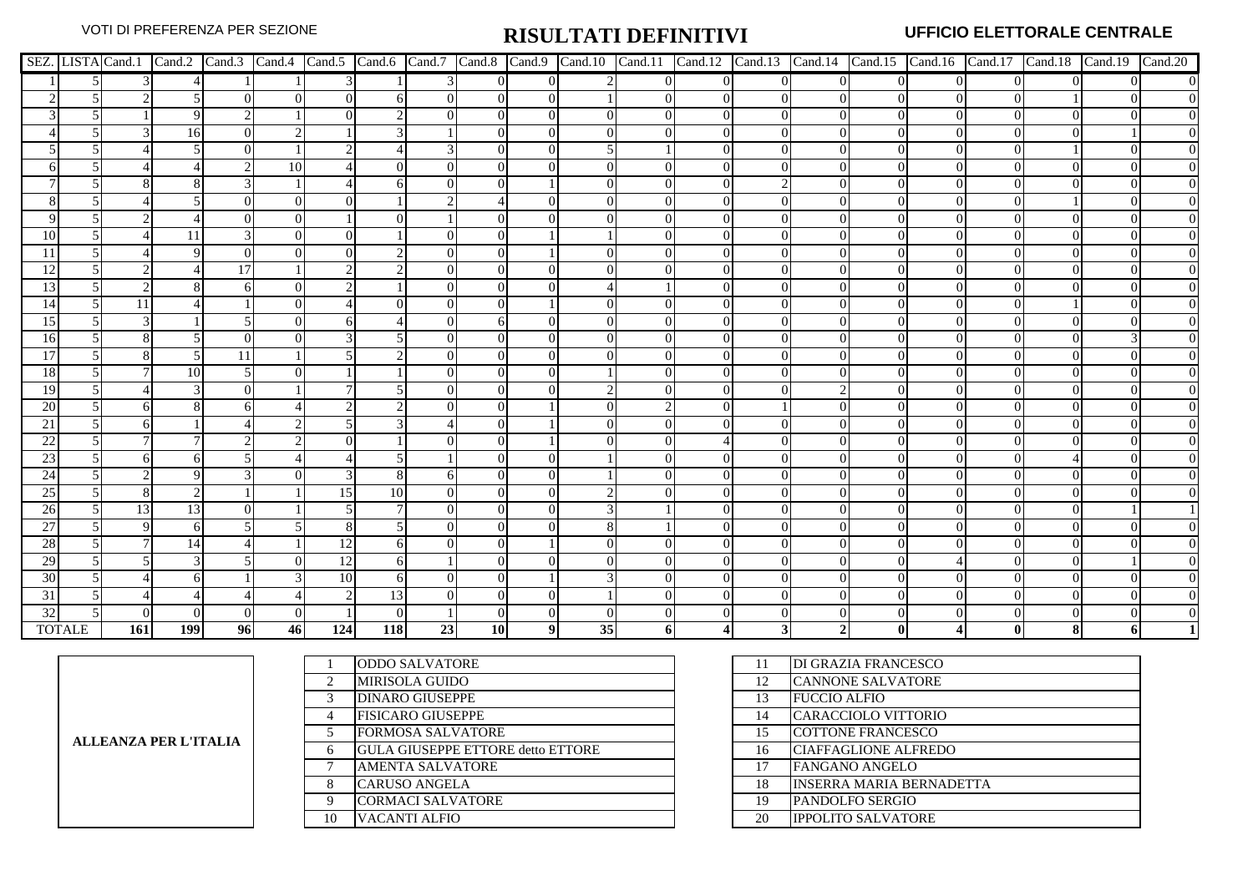|                 |               |            |     |    |          |          |                 |    |                |                |    |                |          |                |                |          |          |          | SEZ. LISTA Cand.1   Cand.2   Cand.3   Cand.4   Cand.5   Cand.6   Cand.7   Cand.8   Cand.10   Cand.11   Cand.12   Cand.13   Cand.14   Cand.15   Cand.16   Cand.17   Cand.18   Cand.19   Cand.20 |
|-----------------|---------------|------------|-----|----|----------|----------|-----------------|----|----------------|----------------|----|----------------|----------|----------------|----------------|----------|----------|----------|------------------------------------------------------------------------------------------------------------------------------------------------------------------------------------------------|
|                 |               |            |     |    |          |          |                 |    | $\overline{0}$ | $\overline{0}$ |    | $\overline{0}$ | $\Omega$ | $\overline{0}$ | $\overline{0}$ | $\Omega$ | $\Omega$ | $\Omega$ | $\Omega$                                                                                                                                                                                       |
|                 |               |            |     |    | $\Omega$ | $\Omega$ |                 |    | $\overline{0}$ | $\theta$       |    | $\Omega$       |          | 0              |                |          |          |          |                                                                                                                                                                                                |
|                 |               |            |     |    |          | ∩        |                 |    | $\Omega$       | $\Omega$       |    | $\Omega$       |          | $\Omega$       | $^{\circ}$     |          | 0        |          |                                                                                                                                                                                                |
|                 |               |            | 16  |    |          |          |                 |    | 0              | $\Omega$       |    |                |          | 0              |                |          |          |          |                                                                                                                                                                                                |
|                 |               |            |     |    |          |          |                 |    | 0              | $\Omega$       |    |                |          | 0              |                |          |          |          |                                                                                                                                                                                                |
|                 |               |            |     |    | 10       |          |                 |    |                | $\Omega$       |    |                |          |                |                |          |          |          |                                                                                                                                                                                                |
|                 |               |            |     |    |          |          |                 |    |                |                |    |                |          |                |                |          |          |          |                                                                                                                                                                                                |
|                 |               |            |     |    |          |          |                 |    |                |                |    |                |          | $\Omega$       |                |          |          |          |                                                                                                                                                                                                |
|                 |               |            |     |    |          |          |                 |    |                | $\Omega$       |    |                |          |                |                |          |          |          |                                                                                                                                                                                                |
| 10              |               |            |     |    |          |          |                 |    |                |                |    |                |          |                |                |          |          |          |                                                                                                                                                                                                |
|                 |               |            |     |    |          |          |                 |    |                |                |    |                |          |                |                |          |          |          |                                                                                                                                                                                                |
| 12              |               |            |     | 17 |          |          |                 |    |                |                |    |                |          |                |                |          |          |          |                                                                                                                                                                                                |
| 13              |               |            |     |    |          |          |                 |    |                | $\Omega$       |    |                |          |                |                |          |          |          |                                                                                                                                                                                                |
| 14              |               | 11         |     |    |          |          |                 |    | 0              |                |    |                |          |                |                |          |          |          |                                                                                                                                                                                                |
| 15              |               |            |     |    | $\Omega$ |          |                 |    | 6              | $\Omega$       |    |                |          | $\Omega$       |                |          |          |          |                                                                                                                                                                                                |
| <b>16</b>       |               |            |     |    |          |          |                 |    | 0              | $\Omega$       |    |                |          |                |                |          |          |          |                                                                                                                                                                                                |
| 17              |               |            |     |    |          |          |                 |    |                | $\Omega$       |    |                |          |                |                |          |          |          |                                                                                                                                                                                                |
| 18              |               |            |     |    |          |          |                 |    |                |                |    |                |          |                |                |          |          |          |                                                                                                                                                                                                |
| <sup>19</sup>   |               |            |     |    |          |          |                 |    | $\mathbf{0}$   | $\Omega$       |    |                |          |                |                |          |          |          |                                                                                                                                                                                                |
| 20              |               |            |     |    |          |          |                 |    |                |                |    |                |          |                |                |          |          |          |                                                                                                                                                                                                |
| 21              |               |            |     |    |          |          |                 |    | 0              |                |    |                |          |                |                |          |          |          |                                                                                                                                                                                                |
| $\overline{22}$ |               |            |     |    |          |          |                 |    |                |                |    |                |          |                |                |          |          |          |                                                                                                                                                                                                |
| 23              |               |            |     |    |          |          |                 |    |                |                |    |                |          |                |                |          |          |          |                                                                                                                                                                                                |
| 24              |               |            |     |    |          |          | x               |    | $\mathbf{0}$   | $\Omega$       |    |                |          |                |                |          |          |          |                                                                                                                                                                                                |
| 25              |               |            |     |    |          | 15       | 10 <sup>1</sup> |    | 0              | $\Omega$       |    |                |          | 0              |                |          |          |          |                                                                                                                                                                                                |
| $\overline{26}$ |               | 13         | 13  |    |          |          |                 |    | 0              | $\Omega$       |    |                |          |                |                |          |          |          |                                                                                                                                                                                                |
| 27              |               |            |     |    |          |          |                 |    | 0              | $\Omega$       |    |                |          | 0              |                |          |          |          |                                                                                                                                                                                                |
| 28              |               |            |     |    |          | 12       |                 |    |                |                |    |                |          |                |                |          |          |          |                                                                                                                                                                                                |
| 29              |               |            |     |    |          | 12       | 61              |    |                |                |    |                |          |                |                |          |          |          |                                                                                                                                                                                                |
| 30              |               |            |     |    |          | 10       |                 |    |                |                |    |                |          |                |                |          |          |          |                                                                                                                                                                                                |
| 31              |               |            |     |    |          |          | 13              |    |                | $\Omega$       |    |                |          |                |                |          |          |          |                                                                                                                                                                                                |
| 32              |               |            |     |    |          |          |                 |    |                |                |    |                |          |                |                |          |          |          |                                                                                                                                                                                                |
|                 | <b>TOTALE</b> | <b>161</b> | 199 | 96 | 46       | 124      | 118             | 23 | <b>10</b>      | 91             | 35 | 61             |          | 31             |                |          |          |          |                                                                                                                                                                                                |

| <b>ALLEANZA PER L'ITALIA</b> |
|------------------------------|
|------------------------------|

|    | <b>ODDO SALVATORE</b>                    | 11 | <b>DI GRAZIA FRANCESCO</b>      |
|----|------------------------------------------|----|---------------------------------|
| 2  | <b>MIRISOLA GUIDO</b>                    | 12 | <b>CANNONE SALVATORE</b>        |
| 3  | <b>DINARO GIUSEPPE</b>                   | 13 | <b>FUCCIO ALFIO</b>             |
| 4  | <b>FISICARO GIUSEPPE</b>                 | 14 | CARACCIOLO VITTORIO             |
|    | <b>FORMOSA SALVATORE</b>                 | 15 | <b>COTTONE FRANCESCO</b>        |
| 6  | <b>GULA GIUSEPPE ETTORE detto ETTORE</b> | 16 | <b>CIAFFAGLIONE ALFREDO</b>     |
|    | <b>AMENTA SALVATORE</b>                  | 17 | <b>FANGANO ANGELO</b>           |
| 8  | <b>CARUSO ANGELA</b>                     | 18 | <b>INSERRA MARIA BERNADETTA</b> |
| 9  | <b>CORMACI SALVATORE</b>                 | 19 | <b>PANDOLFO SERGIO</b>          |
| 10 | VACANTI ALFIO                            | 20 | <b>IPPOLITO SALVATORE</b>       |
|    |                                          |    |                                 |

| 11 | DI GRAZIA FRANCESCO        |
|----|----------------------------|
| 12 | <b>CANNONE SALVATORE</b>   |
| 13 | <b>FUCCIO ALFIO</b>        |
| 14 | <b>CARACCIOLO VITTORIO</b> |
| 15 | <b>COTTONE FRANCESCO</b>   |
| 16 | CIAFFAGLIONE ALFREDO       |
| 17 | <b>FANGANO ANGELO</b>      |
| 18 | INSERRA MARIA BERNADETTA   |
| 19 | PANDOLFO SERGIO            |
| 20 | <b>IPPOLITO SALVATORE</b>  |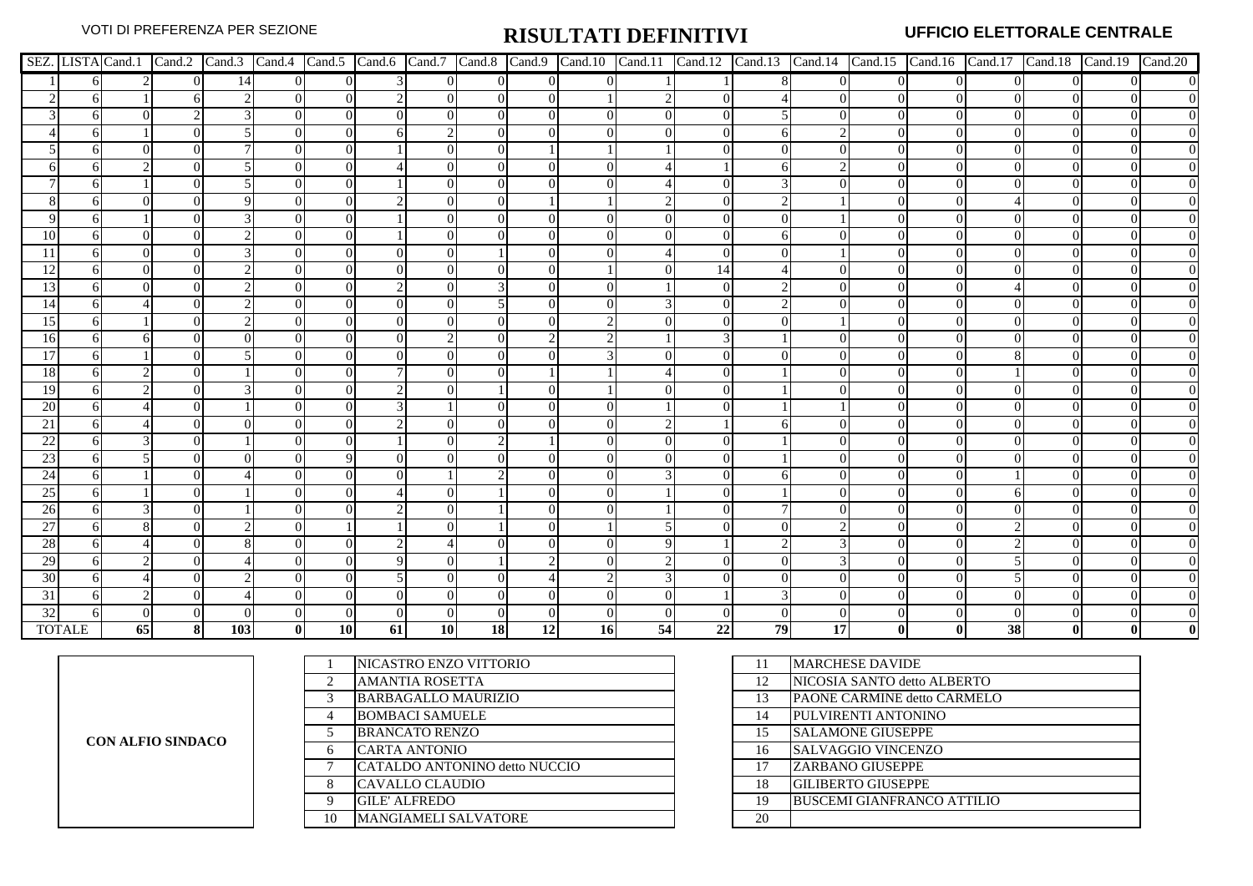|                 |               |           |          |     |              |           |           |           |                |          |           |          |    |    |          |          |                |    | SEZ. LISTA Cand.1   Cand.2   Cand.3   Cand.4   Cand.5   Cand.6   Cand.7   Cand.8   Cand.10   Cand.11   Cand.12   Cand.13   Cand.14   Cand.15   Cand.16   Cand.17   Cand.18   Cand.19   Cand.20 |                  |
|-----------------|---------------|-----------|----------|-----|--------------|-----------|-----------|-----------|----------------|----------|-----------|----------|----|----|----------|----------|----------------|----|------------------------------------------------------------------------------------------------------------------------------------------------------------------------------------------------|------------------|
|                 |               |           | $\Omega$ | 14  | $\Omega$     | $\Omega$  |           | $\Omega$  | $\overline{0}$ | $\Omega$ |           |          |    | 8  | $\Omega$ | $\Omega$ | $\overline{0}$ |    |                                                                                                                                                                                                | $\overline{0}$   |
|                 |               |           |          |     |              |           |           |           | $\Omega$       |          |           |          |    |    |          |          | $\Omega$       |    |                                                                                                                                                                                                |                  |
|                 |               |           |          |     |              | $\Omega$  |           |           |                |          |           | $\Omega$ |    |    | 0        |          | $\Omega$       |    |                                                                                                                                                                                                | $\overline{0}$   |
|                 |               |           |          |     |              |           |           |           |                |          |           |          |    |    |          |          |                |    |                                                                                                                                                                                                | $\overline{0}$   |
|                 |               |           |          |     |              |           |           |           |                |          |           |          |    |    |          |          | $\Omega$       |    |                                                                                                                                                                                                | $\boldsymbol{0}$ |
|                 |               |           |          |     |              |           |           |           |                |          |           |          |    |    |          |          |                |    |                                                                                                                                                                                                | $\boldsymbol{0}$ |
|                 |               |           |          |     |              |           |           |           |                |          |           |          |    |    |          |          |                |    |                                                                                                                                                                                                | $\boldsymbol{0}$ |
|                 |               |           |          |     |              |           |           |           |                |          |           |          |    |    |          |          | $\theta$       |    |                                                                                                                                                                                                | $\overline{0}$   |
|                 |               |           |          |     |              |           |           |           |                |          |           |          |    |    |          |          |                |    |                                                                                                                                                                                                | $\overline{0}$   |
| 10              |               |           |          |     |              |           |           |           |                |          |           |          |    |    |          |          |                |    |                                                                                                                                                                                                |                  |
|                 |               |           |          |     |              |           |           |           |                |          |           |          |    |    |          |          |                |    |                                                                                                                                                                                                |                  |
| 12              |               |           |          |     |              |           |           |           |                |          |           |          |    |    |          |          |                |    |                                                                                                                                                                                                |                  |
| <sup>13</sup>   |               |           |          |     |              |           |           |           |                |          |           |          |    |    |          |          | $\Omega$       |    |                                                                                                                                                                                                |                  |
| 14              |               |           |          |     |              |           |           |           |                |          |           |          |    |    |          |          | 0              |    |                                                                                                                                                                                                | $\boldsymbol{0}$ |
| 15              |               |           |          |     |              |           |           |           |                |          |           |          |    |    |          |          |                |    |                                                                                                                                                                                                | $\overline{0}$   |
| 16              |               |           |          |     |              |           |           |           |                |          |           |          |    |    |          |          |                |    |                                                                                                                                                                                                | $\boldsymbol{0}$ |
| 17              |               |           |          |     |              |           |           |           |                |          |           |          |    |    |          |          |                |    |                                                                                                                                                                                                | $\boldsymbol{0}$ |
| 18              |               |           |          |     |              |           |           |           |                |          |           |          |    |    |          |          |                |    |                                                                                                                                                                                                |                  |
| <sup>19</sup>   |               |           |          |     |              |           |           |           |                |          |           |          |    |    |          |          | $\Omega$       |    |                                                                                                                                                                                                | $\overline{0}$   |
| 20              |               |           |          |     |              |           |           |           |                |          |           |          |    |    |          |          |                |    |                                                                                                                                                                                                | $\overline{0}$   |
| 21              |               |           |          |     |              |           |           |           |                |          |           |          |    |    |          |          |                |    |                                                                                                                                                                                                |                  |
| 22              |               |           |          |     |              |           |           |           |                |          |           |          |    |    |          |          |                |    |                                                                                                                                                                                                |                  |
| 23              |               |           |          |     |              |           |           |           |                |          |           |          |    |    |          |          |                |    |                                                                                                                                                                                                |                  |
| 24              |               |           |          |     |              |           |           |           |                |          |           |          |    |    |          |          | $\Omega$       |    |                                                                                                                                                                                                |                  |
| 25              |               |           |          |     |              |           |           |           |                |          |           |          |    |    |          |          | 0              |    |                                                                                                                                                                                                | $\boldsymbol{0}$ |
| 26              |               |           |          |     | $\theta$     |           |           |           |                |          |           |          |    |    |          |          | $\Omega$       |    |                                                                                                                                                                                                | $\boldsymbol{0}$ |
| $\overline{27}$ |               |           |          |     |              |           |           |           |                |          |           |          |    |    |          |          |                |    |                                                                                                                                                                                                | $\overline{0}$   |
| 28              |               |           |          |     |              |           |           |           |                |          |           |          |    |    |          |          |                |    |                                                                                                                                                                                                | $\overline{0}$   |
| 29              |               |           |          |     |              |           |           |           |                |          |           |          |    |    |          |          | $\Omega$       |    |                                                                                                                                                                                                |                  |
| 30              |               |           |          |     |              |           |           |           |                |          |           |          |    |    |          |          | 0              |    |                                                                                                                                                                                                | $\overline{0}$   |
| 31              |               |           |          |     |              |           |           |           |                |          |           |          |    |    |          |          |                |    |                                                                                                                                                                                                | $\boldsymbol{0}$ |
| 32              |               |           |          |     |              |           |           |           |                |          |           |          |    |    |          |          |                |    |                                                                                                                                                                                                |                  |
|                 | <b>TOTALE</b> | <b>65</b> | 81       | 103 | $\mathbf{0}$ | <b>10</b> | <b>61</b> | <b>10</b> | 18             | 12       | <b>16</b> | 54       | 22 | 79 | 17       |          | 01             | 38 |                                                                                                                                                                                                |                  |

| <b>CON ALFIO SINDACO</b> |
|--------------------------|
|--------------------------|

|    | NICASTRO ENZO VITTORIO        | Ħ  | <b>MARCHESE DAVIDE</b>             |
|----|-------------------------------|----|------------------------------------|
| ◠  | <b>AMANTIA ROSETTA</b>        | 12 | NICOSIA SANTO detto ALBERTO        |
|    | <b>BARBAGALLO MAURIZIO</b>    | 13 | <b>PAONE CARMINE detto CARMELO</b> |
| 4  | <b>BOMBACI SAMUELE</b>        | 14 | PULVIRENTI ANTONINO                |
|    | <b>BRANCATO RENZO</b>         | 15 | <b>SALAMONE GIUSEPPE</b>           |
| 6  | CARTA ANTONIO                 | 16 | <b>SALVAGGIO VINCENZO</b>          |
|    | CATALDO ANTONINO detto NUCCIO |    | <b>ZARBANO GIUSEPPE</b>            |
| 8  | CAVALLO CLAUDIO               | 18 | <b>GILIBERTO GIUSEPPE</b>          |
| 9  | <b>GILE' ALFREDO</b>          | 19 | <b>BUSCEMI GIANFRANCO ATTILIO</b>  |
| 10 | <b>MANGIAMELI SALVATORE</b>   | 20 |                                    |

| 11 | <b>MARCHESE DAVIDE</b>            |
|----|-----------------------------------|
| 12 | NICOSIA SANTO detto ALBERTO       |
| 13 | PAONE CARMINE detto CARMELO       |
| 14 | PULVIRENTI ANTONINO               |
| 15 | <b>SALAMONE GIUSEPPE</b>          |
| 16 | <b>SALVAGGIO VINCENZO</b>         |
| 17 | <b>ZARBANO GIUSEPPE</b>           |
| 18 | <b>GILIBERTO GIUSEPPE</b>         |
| 19 | <b>BUSCEMI GIANFRANCO ATTILIO</b> |
| 20 |                                   |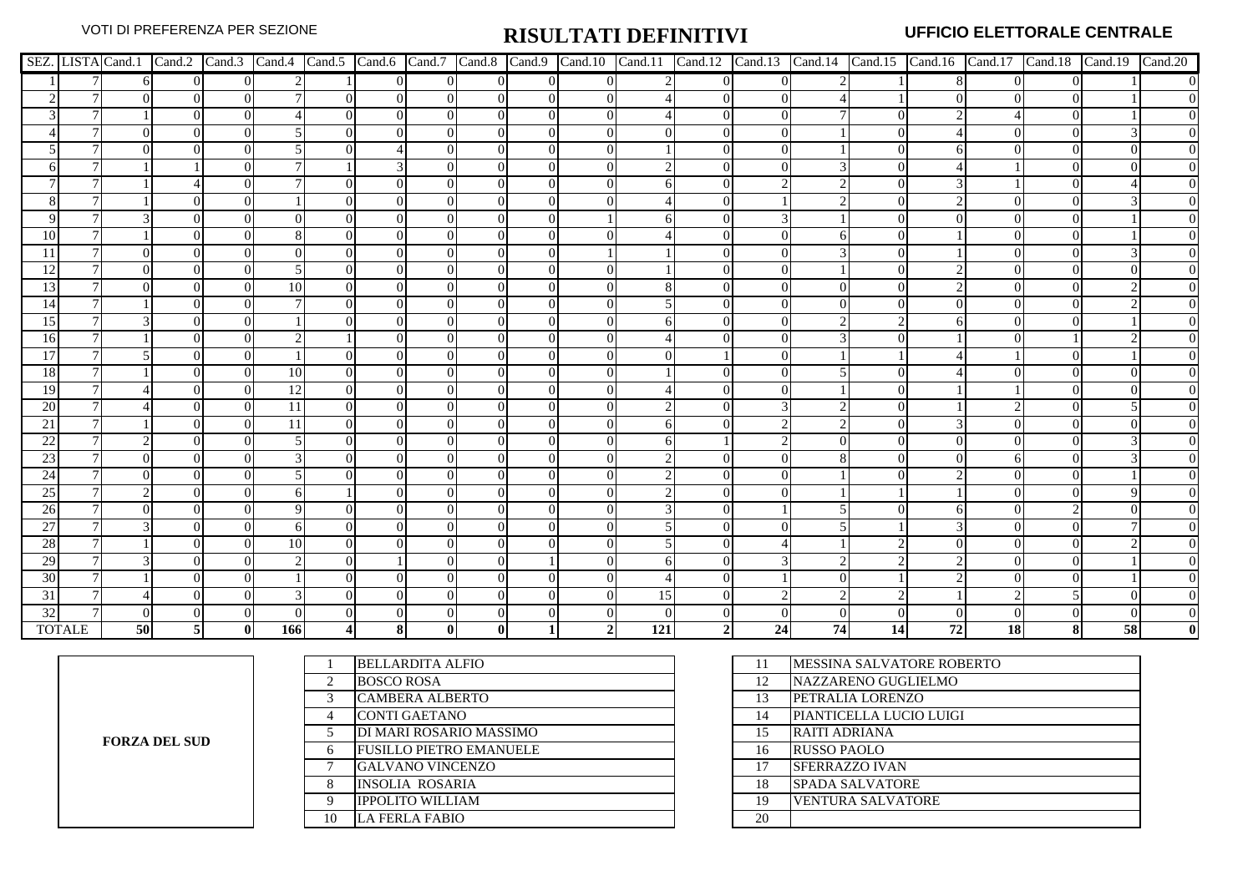|           |               |    |                |                |     |          |          |          |          |                |                 |          |          |    |    |    | SEZ. LISTA Cand.1 Cand.2 Cand.3 Cand.4 Cand.5 Cand.6 Cand.7 Cand.8 Cand.9 Cand.10 Cand.11 Cand.12 Cand.13 Cand.14 Cand.15 Cand.16 Cand.17 Cand.18 Cand.19 Cand.19 Cand.20 |    |    |                  |
|-----------|---------------|----|----------------|----------------|-----|----------|----------|----------|----------|----------------|-----------------|----------|----------|----|----|----|---------------------------------------------------------------------------------------------------------------------------------------------------------------------------|----|----|------------------|
|           |               |    | $\overline{0}$ | $\overline{0}$ |     | $\Omega$ | $\Omega$ | $\Omega$ | $\Omega$ | $\Omega$       |                 | $\Omega$ | $\Omega$ |    |    |    |                                                                                                                                                                           |    |    | $\boldsymbol{0}$ |
|           |               |    | $\Omega$       | $\Omega$       |     | $\Omega$ | $\Omega$ | $\Omega$ |          |                |                 | $\Omega$ |          |    |    |    |                                                                                                                                                                           |    |    |                  |
|           |               |    | $\Omega$       | $\Omega$       |     | $\Omega$ | $\Omega$ |          | $\Omega$ | $\Omega$       |                 | $\Omega$ |          |    |    |    |                                                                                                                                                                           |    |    |                  |
|           |               |    | $\Omega$       | $\Omega$       |     | $\Omega$ | $\Omega$ |          |          |                |                 | $\Omega$ |          |    |    |    |                                                                                                                                                                           |    |    | $\boldsymbol{0}$ |
|           |               |    |                | $\Omega$       |     |          |          |          |          |                |                 |          |          |    |    |    |                                                                                                                                                                           |    |    | $\overline{0}$   |
|           |               |    |                |                |     |          |          |          |          |                |                 |          |          |    |    |    |                                                                                                                                                                           |    |    | $\overline{0}$   |
|           |               |    |                |                |     |          |          |          |          |                |                 |          |          |    |    |    |                                                                                                                                                                           |    |    |                  |
|           |               |    |                |                |     | $\Omega$ |          |          |          |                |                 |          |          |    |    |    |                                                                                                                                                                           |    |    |                  |
|           |               |    |                |                |     | $\Omega$ |          |          |          |                |                 |          |          |    |    |    |                                                                                                                                                                           |    |    |                  |
| 10        |               |    |                |                |     | $\Omega$ |          |          |          |                |                 |          |          |    |    |    |                                                                                                                                                                           |    |    |                  |
|           |               |    |                |                |     |          |          |          |          |                |                 |          |          |    |    |    |                                                                                                                                                                           |    |    |                  |
| 12        |               |    |                |                |     |          |          |          |          |                |                 |          |          |    |    |    |                                                                                                                                                                           |    |    |                  |
| 13        |               |    |                | $\Omega$       | 10  | $\Omega$ |          |          |          |                |                 |          |          |    |    |    |                                                                                                                                                                           |    |    |                  |
| 14        |               |    |                | $\Omega$       |     | $\Omega$ |          |          |          |                |                 |          |          |    |    |    |                                                                                                                                                                           |    |    |                  |
| 15        |               |    |                |                |     | $\Omega$ |          |          |          |                |                 |          |          |    |    |    |                                                                                                                                                                           |    |    |                  |
| 16        |               |    |                |                |     |          |          |          |          |                |                 |          |          |    |    |    |                                                                                                                                                                           |    |    |                  |
| 17        |               |    |                |                |     | $\Omega$ |          |          |          |                |                 |          |          |    |    |    |                                                                                                                                                                           |    |    |                  |
| <b>18</b> |               |    |                |                | 10  | $\Omega$ |          |          |          |                |                 |          |          |    |    |    |                                                                                                                                                                           |    |    |                  |
| 19        |               |    |                |                | 12  | $\Omega$ |          |          |          |                |                 |          |          |    |    |    |                                                                                                                                                                           |    |    |                  |
| 20        |               |    |                |                | 11  | $\Omega$ |          |          |          |                |                 |          |          |    |    |    |                                                                                                                                                                           |    |    |                  |
| 21        |               |    |                |                | 11  | $\Omega$ |          |          |          |                |                 |          |          |    |    |    |                                                                                                                                                                           |    |    |                  |
| 22        |               |    |                |                |     |          |          |          |          |                |                 |          |          |    |    |    |                                                                                                                                                                           |    |    |                  |
| 23        |               |    |                |                |     |          |          |          |          |                |                 |          |          |    |    |    |                                                                                                                                                                           |    |    |                  |
| 24        |               |    |                |                |     |          |          |          |          |                |                 |          |          |    |    |    |                                                                                                                                                                           |    |    |                  |
| 25        |               |    |                | $\Omega$       |     |          |          |          |          |                |                 |          |          |    |    |    |                                                                                                                                                                           |    |    | $\boldsymbol{0}$ |
| 26        |               |    |                | $\Omega$       |     | $\Omega$ |          |          | ∩        |                |                 |          |          |    |    |    |                                                                                                                                                                           |    |    | $\boldsymbol{0}$ |
| 27        |               |    |                |                |     | $\Omega$ |          |          |          |                |                 |          |          |    |    |    |                                                                                                                                                                           |    |    | $\overline{0}$   |
| 28        |               |    |                |                | 10  |          |          |          |          |                |                 |          |          |    |    |    |                                                                                                                                                                           |    |    |                  |
| 29        |               |    |                |                |     |          |          |          |          |                |                 |          |          |    |    |    |                                                                                                                                                                           |    |    |                  |
| 30        |               |    |                | 0              |     | $\Omega$ |          |          |          |                |                 |          |          |    |    |    |                                                                                                                                                                           |    |    | $\boldsymbol{0}$ |
| 31        |               |    |                |                |     |          |          |          |          |                | 15 <sub>1</sub> |          |          |    |    |    |                                                                                                                                                                           |    |    | $\boldsymbol{0}$ |
| 32        |               |    |                |                |     |          |          |          |          |                |                 |          |          |    |    |    |                                                                                                                                                                           |    |    | $\overline{0}$   |
|           | <b>TOTALE</b> | 50 | 51             | $\bf{0}$       | 166 | 81       |          | $\bf{0}$ |          | $\overline{2}$ | 121             |          | 24       | 74 | 14 | 72 | 18                                                                                                                                                                        | 81 | 58 | $\bf{0}$         |

**FORZA DEL SUD**

|    | <b>BELLARDITA ALFIO</b>        | 11 | IMESSINA SALVATORE ROBERTO |
|----|--------------------------------|----|----------------------------|
|    | <b>BOSCO ROSA</b>              | 12 | NAZZARENO GUGLIELMO        |
| 3  | <b>CAMBERA ALBERTO</b>         | 13 | PETRALIA LORENZO           |
|    | <b>CONTI GAETANO</b>           | 14 | PIANTICELLA LUCIO LUIGI    |
|    | DI MARI ROSARIO MASSIMO        | 15 | RAITI ADRIANA              |
| 6  | <b>FUSILLO PIETRO EMANUELE</b> | 16 | <b>RUSSO PAOLO</b>         |
|    | <b>GALVANO VINCENZO</b>        | 17 | <b>SFERRAZZO IVAN</b>      |
| 8  | <b>INSOLIA ROSARIA</b>         | 18 | <b>SPADA SALVATORE</b>     |
| 9  | <b>IPPOLITO WILLIAM</b>        | 19 | <b>VENTURA SALVATORE</b>   |
| 10 | <b>LA FERLA FABIO</b>          | 20 |                            |
|    |                                |    |                            |

| 11 | MESSINA SALVATORE ROBERTO |
|----|---------------------------|
| 12 | NAZZARENO GUGLIELMO       |
| 13 | PETRALIA LORENZO          |
| 14 | PIANTICELLA LUCIO LUIGI   |
| 15 | RAITI ADRIANA             |
| 16 | <b>RUSSO PAOLO</b>        |
| 17 | SFERRAZZO IVAN            |
| 18 | <b>SPADA SALVATORE</b>    |
| 19 | <b>VENTURA SALVATORE</b>  |
| 20 |                           |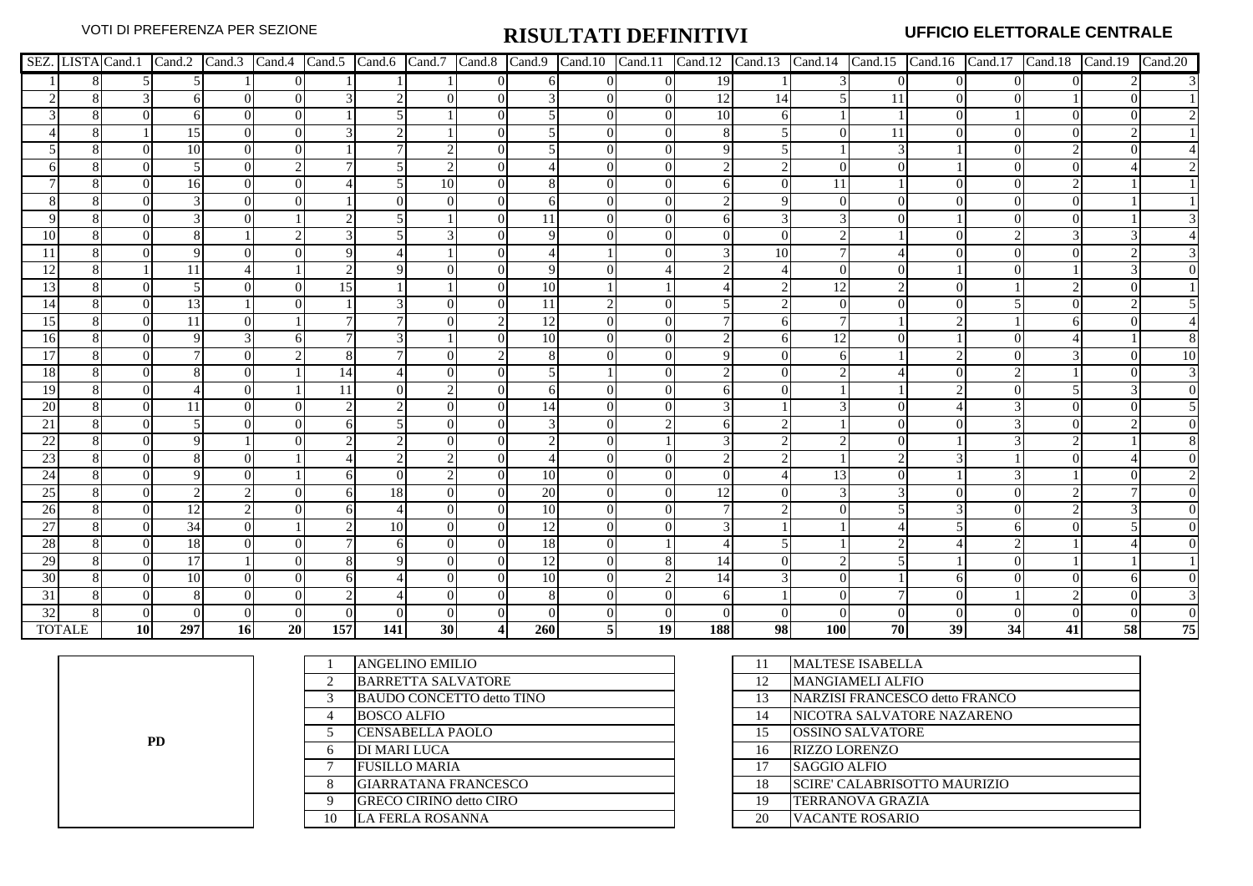|                 |               |             |               |           |    |     |          |    |                |                 |                |            |                |            |           |                |    |          | SEZ. LISTA Cand.1 Cand.2 Cand.3 Cand.4 Cand.5 Cand.6 Cand.7 Cand.8 Cand.9 Cand.10 Cand.11 Cand.12 Cand.13 Cand.13 Cand.14 Cand.15 Cand.16 Cand.17 Cand.18 Cand.19 Cand.20 |    |
|-----------------|---------------|-------------|---------------|-----------|----|-----|----------|----|----------------|-----------------|----------------|------------|----------------|------------|-----------|----------------|----|----------|---------------------------------------------------------------------------------------------------------------------------------------------------------------------------|----|
|                 |               |             |               |           |    |     |          |    | $\overline{0}$ |                 | $\overline{0}$ | 19         |                |            | $\Omega$  | $\overline{0}$ |    | $\Omega$ |                                                                                                                                                                           |    |
|                 |               |             | 6             | $\Omega$  |    |     |          |    | $\Omega$       |                 | $\overline{0}$ | 12         | 14             |            | 11        | $\overline{0}$ |    |          |                                                                                                                                                                           |    |
|                 |               |             | 6             | $\Omega$  |    |     |          |    |                |                 | $\Omega$       | 10         | 6              |            |           | $\theta$       |    |          |                                                                                                                                                                           |    |
|                 |               |             | 15            | $\Omega$  |    |     |          |    |                |                 |                |            | 5 <sup>1</sup> |            | 11        |                |    |          |                                                                                                                                                                           |    |
|                 |               |             | 10            | $\Omega$  |    |     |          |    | $\Omega$       |                 |                |            | 5 <sub>l</sub> |            |           |                |    |          |                                                                                                                                                                           |    |
|                 |               |             |               | $\Omega$  |    |     |          |    |                |                 |                |            |                | $\Omega$   |           |                |    |          |                                                                                                                                                                           |    |
|                 |               |             | 16            | $\Omega$  |    |     |          | 10 |                |                 |                |            | 0              | 11         |           |                |    |          |                                                                                                                                                                           |    |
|                 |               |             | $\mathcal{R}$ |           |    |     | $\Omega$ |    | 0              |                 |                |            | 9              | $\Omega$   |           |                |    |          |                                                                                                                                                                           |    |
|                 |               |             |               |           |    |     |          |    |                | 11              |                |            | 3              |            |           |                |    |          |                                                                                                                                                                           |    |
| 10              |               |             |               |           |    |     |          |    |                | 9               |                |            | $\overline{0}$ |            |           |                |    |          |                                                                                                                                                                           |    |
|                 |               |             |               |           |    |     |          |    |                |                 |                |            | 10             |            |           |                |    |          |                                                                                                                                                                           |    |
|                 |               |             | 11            |           |    |     |          |    |                |                 |                |            |                |            |           |                |    |          |                                                                                                                                                                           |    |
| 13              |               |             |               |           |    | 15  |          |    |                | 10              |                |            |                |            |           | $\theta$       |    |          |                                                                                                                                                                           |    |
| 14              |               |             | 13            |           |    |     |          |    |                | 11              |                |            |                | $\Omega$   |           |                |    |          |                                                                                                                                                                           |    |
| 15              |               |             | 11            | $\Omega$  |    |     |          |    | 2 <sub>1</sub> | $\overline{12}$ |                |            | 6              |            |           |                |    |          |                                                                                                                                                                           |    |
| 16              |               |             | 9             |           |    |     |          |    | $\Omega$       | 10              |                |            | 61             | 12.        |           |                |    |          |                                                                                                                                                                           |    |
| 17              |               |             |               |           |    |     |          |    |                |                 |                |            |                |            |           |                |    |          |                                                                                                                                                                           | 10 |
| 18              |               |             |               |           |    | 14  |          |    |                | .5              |                |            |                |            |           |                |    |          |                                                                                                                                                                           |    |
| 19              |               |             |               |           |    | 11  |          |    |                |                 |                |            |                |            |           |                |    |          |                                                                                                                                                                           |    |
| 20              |               |             | 11            |           |    |     |          |    |                | 14              |                |            |                |            |           |                |    |          |                                                                                                                                                                           |    |
| 21              |               |             |               |           |    |     |          |    | 0              | $\mathcal{R}$   |                |            |                |            |           |                |    |          |                                                                                                                                                                           |    |
| 22              |               |             |               |           |    |     |          |    |                |                 |                |            |                |            |           |                |    |          |                                                                                                                                                                           |    |
| 23              |               |             |               |           |    |     |          |    |                |                 |                |            |                |            |           |                |    |          |                                                                                                                                                                           |    |
| 24              |               |             | 9             |           |    |     | $\Omega$ |    | 0              | 10              | $\Omega$       |            |                | 13         |           |                |    |          |                                                                                                                                                                           |    |
| 25              |               |             |               |           |    |     | 18       |    | $\Omega$       | 20              |                | 12         | $\Omega$       |            |           |                |    |          |                                                                                                                                                                           |    |
| 26              |               | $\Omega$    | 12            |           |    |     |          |    | $\Omega$       | 10              |                |            | $\mathfrak{D}$ |            |           |                |    |          |                                                                                                                                                                           |    |
| 27              |               |             | 34            | $\Omega$  |    |     | 10       |    | $\Omega$       | 12              |                |            |                |            |           |                |    |          |                                                                                                                                                                           |    |
| 28              |               |             | 18            |           |    |     | 61       |    |                | 18              |                |            |                |            |           |                |    |          |                                                                                                                                                                           |    |
| 29              |               | $^{\prime}$ | 17            |           |    |     | 9        |    | 0              | 12              |                | 14         | $\theta$       |            |           |                |    |          |                                                                                                                                                                           |    |
| 30              |               |             | 10            |           |    |     |          |    | 0              | 10              |                | 14         |                | ∩          |           |                |    |          |                                                                                                                                                                           |    |
| $\overline{31}$ |               |             | 8             |           |    |     |          |    |                | 8               |                |            |                |            |           |                |    |          |                                                                                                                                                                           |    |
| 32              |               |             |               |           |    |     |          |    |                |                 |                |            |                |            |           |                |    |          |                                                                                                                                                                           |    |
|                 | <b>TOTALE</b> | <b>10</b>   | 297           | <b>16</b> | 20 | 157 | 141      | 30 | $\overline{4}$ | 260             | <b>19</b>      | <b>188</b> | 98             | <b>100</b> | <b>70</b> | 39             | 34 | 41       | 58                                                                                                                                                                        | 75 |

**PD**

|    | ANGELINO EMILIO                  | 11 | <b>MALTESE ISABELLA</b>           |
|----|----------------------------------|----|-----------------------------------|
| 2  | <b>BARRETTA SALVATORE</b>        | 12 | <b>MANGIAMELI ALFIO</b>           |
| 3  | <b>BAUDO CONCETTO detto TINO</b> | 13 | NARZISI FRANCESCO detto FRANCO    |
| 4  | <b>BOSCO ALFIO</b>               | 14 | <b>NICOTRA SALVATORE NAZARENO</b> |
|    | <b>CENSABELLA PAOLO</b>          | 15 | <b>OSSINO SALVATORE</b>           |
| 6  | DI MARI LUCA                     | 16 | <b>RIZZO LORENZO</b>              |
| 7  | <b>FUSILLO MARIA</b>             | 17 | <b>SAGGIO ALFIO</b>               |
| 8  | <b>GIARRATANA FRANCESCO</b>      | 18 | SCIRE' CALABRISOTTO MAURIZIO      |
| 9  | <b>GRECO CIRINO detto CIRO</b>   | 19 | <b>TERRANOVA GRAZIA</b>           |
| 10 | <b>LA FERLA ROSANNA</b>          | 20 | <b>VACANTE ROSARIO</b>            |
|    |                                  |    |                                   |

| 11 | <b>MALTESE ISABELLA</b>             |
|----|-------------------------------------|
| 12 | <b>MANGIAMELI ALFIO</b>             |
| 13 | NARZISI FRANCESCO detto FRANCO      |
| 14 | NICOTRA SALVATORE NAZARENO          |
| 15 | <b>OSSINO SALVATORE</b>             |
| 16 | <b>RIZZO LORENZO</b>                |
| 17 | <b>SAGGIO ALFIO</b>                 |
| 18 | <b>SCIRE' CALABRISOTTO MAURIZIO</b> |
| 19 | <b>TERRANOVA GRAZIA</b>             |
| 20 | VACANTE ROSARIO                     |
|    |                                     |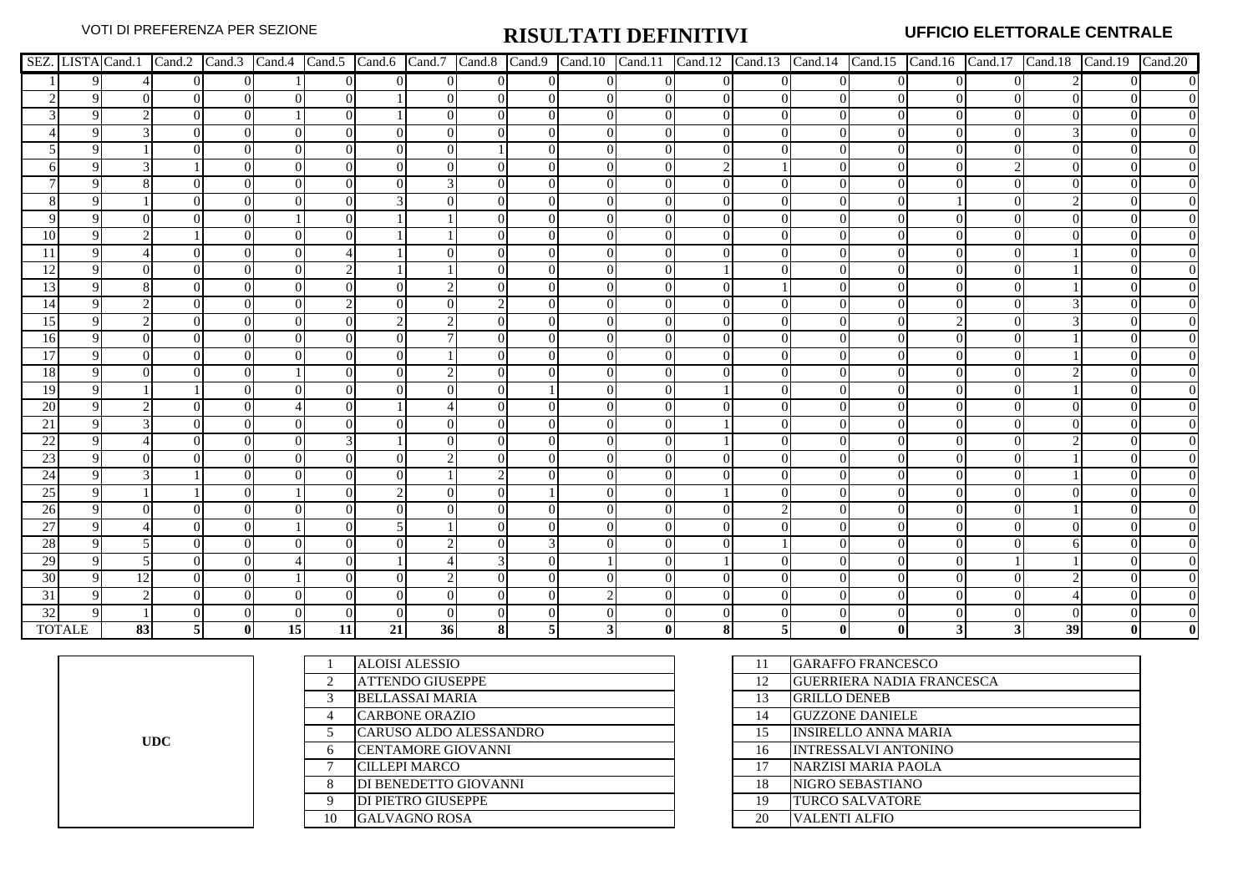|    |               |    |                |                |    |      |          |                 |    |          |          |                |              |  |    | SEZ. LISTA Cand.1   Cand.2   Cand.3   Cand.4   Cand.5   Cand.6   Cand.7   Cand.8   Cand.10   Cand.11   Cand.12   Cand.13   Cand.14   Cand.15   Cand.16   Cand.17   Cand.18   Cand.19   Cand.20 |
|----|---------------|----|----------------|----------------|----|------|----------|-----------------|----|----------|----------|----------------|--------------|--|----|------------------------------------------------------------------------------------------------------------------------------------------------------------------------------------------------|
|    |               |    | $\Omega$       | $\overline{0}$ |    |      | $\Omega$ |                 |    | $\Omega$ |          |                | $\Omega$     |  |    | $\overline{0}$                                                                                                                                                                                 |
|    |               |    | $\Omega$       | $\Omega$       |    |      |          |                 | 0  | $\Omega$ | $\Omega$ | $\theta$       | 0            |  |    |                                                                                                                                                                                                |
|    |               |    | $\Omega$       | $\Omega$       |    |      |          |                 |    |          |          | 0              | $\Omega$     |  |    |                                                                                                                                                                                                |
|    |               |    |                |                |    |      |          |                 |    |          |          |                | $\Omega$     |  |    |                                                                                                                                                                                                |
|    |               |    |                |                |    |      | $\Omega$ |                 |    |          |          |                | $\Omega$     |  |    |                                                                                                                                                                                                |
|    |               |    |                |                |    |      |          |                 |    |          |          |                | $\Omega$     |  |    |                                                                                                                                                                                                |
|    |               |    |                |                |    |      |          |                 |    |          |          |                |              |  |    |                                                                                                                                                                                                |
|    |               |    |                |                |    |      |          |                 |    |          |          | 0              | $\Omega$     |  |    |                                                                                                                                                                                                |
|    |               |    |                |                |    |      |          |                 |    |          |          |                | $\Omega$     |  |    |                                                                                                                                                                                                |
| 10 |               |    |                |                |    |      |          |                 |    |          |          |                |              |  |    |                                                                                                                                                                                                |
|    |               |    |                |                |    |      |          |                 |    |          |          |                |              |  |    |                                                                                                                                                                                                |
|    |               |    |                |                |    |      |          |                 |    |          |          |                |              |  |    |                                                                                                                                                                                                |
| 13 |               |    | $\Omega$       |                |    |      | $\Omega$ |                 |    |          |          |                | 0            |  |    |                                                                                                                                                                                                |
| 14 |               |    | $\Omega$       |                |    |      | $\Omega$ |                 |    |          |          | 0              | $\Omega$     |  |    |                                                                                                                                                                                                |
| 15 |               |    |                |                |    |      |          |                 |    |          |          |                | $\Omega$     |  |    |                                                                                                                                                                                                |
| 16 |               |    |                |                |    |      |          |                 |    |          |          | 0              |              |  |    |                                                                                                                                                                                                |
| 17 |               |    |                |                |    |      |          |                 |    |          |          |                |              |  |    |                                                                                                                                                                                                |
| 18 |               |    |                |                |    |      | $\Omega$ |                 |    |          |          | $\theta$       | $\Omega$     |  |    |                                                                                                                                                                                                |
| 19 |               |    |                |                |    |      |          |                 |    |          |          |                | ∩            |  |    |                                                                                                                                                                                                |
| 20 |               |    |                |                |    |      |          |                 |    |          |          |                |              |  |    |                                                                                                                                                                                                |
| 21 |               |    |                |                |    |      |          |                 |    |          |          |                |              |  |    |                                                                                                                                                                                                |
| 22 |               |    |                |                |    |      |          |                 |    |          |          |                |              |  |    |                                                                                                                                                                                                |
| 23 |               |    |                |                |    |      |          |                 |    |          |          |                |              |  |    |                                                                                                                                                                                                |
| 24 |               |    |                |                |    |      | $\Omega$ |                 |    |          |          |                | 0            |  |    |                                                                                                                                                                                                |
| 25 |               |    |                |                |    |      |          |                 |    |          |          |                | $\Omega$     |  |    |                                                                                                                                                                                                |
| 26 |               |    |                | $\Omega$       |    |      | $\Omega$ |                 |    |          |          | 2 <sub>1</sub> | $\Omega$     |  |    | $\overline{0}$                                                                                                                                                                                 |
| 27 |               |    |                | $\Omega$       |    |      |          |                 |    |          |          |                | $\Omega$     |  |    | $\overline{0}$                                                                                                                                                                                 |
| 28 |               |    |                |                |    |      |          |                 |    |          |          |                |              |  |    |                                                                                                                                                                                                |
| 29 |               |    | $\Omega$       |                |    |      |          |                 |    | $\Omega$ |          |                | $\Omega$     |  |    | $\overline{0}$                                                                                                                                                                                 |
| 30 |               | 12 | $\Omega$       |                |    |      | $\Omega$ |                 |    | $\Omega$ |          | 0              | $\Omega$     |  |    | $\overline{0}$                                                                                                                                                                                 |
| 31 |               |    |                |                |    |      |          |                 |    |          |          |                |              |  |    |                                                                                                                                                                                                |
| 32 |               |    |                |                |    |      |          |                 |    |          |          |                |              |  |    |                                                                                                                                                                                                |
|    | <b>TOTALE</b> | 83 | $\overline{5}$ | $\mathbf{0}$   | 15 | 11 I | 21       | 36 <sup>l</sup> | 81 |          |          | 51             | $\mathbf{0}$ |  | 39 |                                                                                                                                                                                                |

**UDC**

|    | <b>ALOISI ALESSIO</b>     | 11 | <b>GARAFFO FRANCESCO</b>         |
|----|---------------------------|----|----------------------------------|
|    | <b>ATTENDO GIUSEPPE</b>   | 12 | <b>GUERRIERA NADIA FRANCESCA</b> |
|    | <b>BELLASSAI MARIA</b>    | 13 | <b>GRILLO DENEB</b>              |
|    | <b>CARBONE ORAZIO</b>     | 14 | <b>GUZZONE DANIELE</b>           |
|    | CARUSO ALDO ALESSANDRO    | 15 | <b>INSIRELLO ANNA MARIA</b>      |
| 6  | <b>CENTAMORE GIOVANNI</b> | 16 | <b>INTRESSALVI ANTONINO</b>      |
|    | <b>CILLEPI MARCO</b>      | 17 | <b>NARZISI MARIA PAOLA</b>       |
| 8  | DI BENEDETTO GIOVANNI     | 18 | NIGRO SEBASTIANO                 |
| 9  | <b>DI PIETRO GIUSEPPE</b> | 19 | <b>TURCO SALVATORE</b>           |
| 10 | <b>GALVAGNO ROSA</b>      | 20 | <b>VALENTI ALFIO</b>             |

| 11 | <b>GARAFFO FRANCESCO</b>         |
|----|----------------------------------|
| 12 | <b>GUERRIERA NADIA FRANCESCA</b> |
| 13 | <b>GRILLO DENEB</b>              |
| 14 | <b>GUZZONE DANIELE</b>           |
| 15 | <b>INSIRELLO ANNA MARIA</b>      |
| 16 | <b>INTRESSALVI ANTONINO</b>      |
| 17 | NARZISI MARIA PAOLA              |
| 18 | NIGRO SEBASTIANO                 |
| 19 | <b>TURCO SALVATORE</b>           |
| 20 | VALENTI ALFIO                    |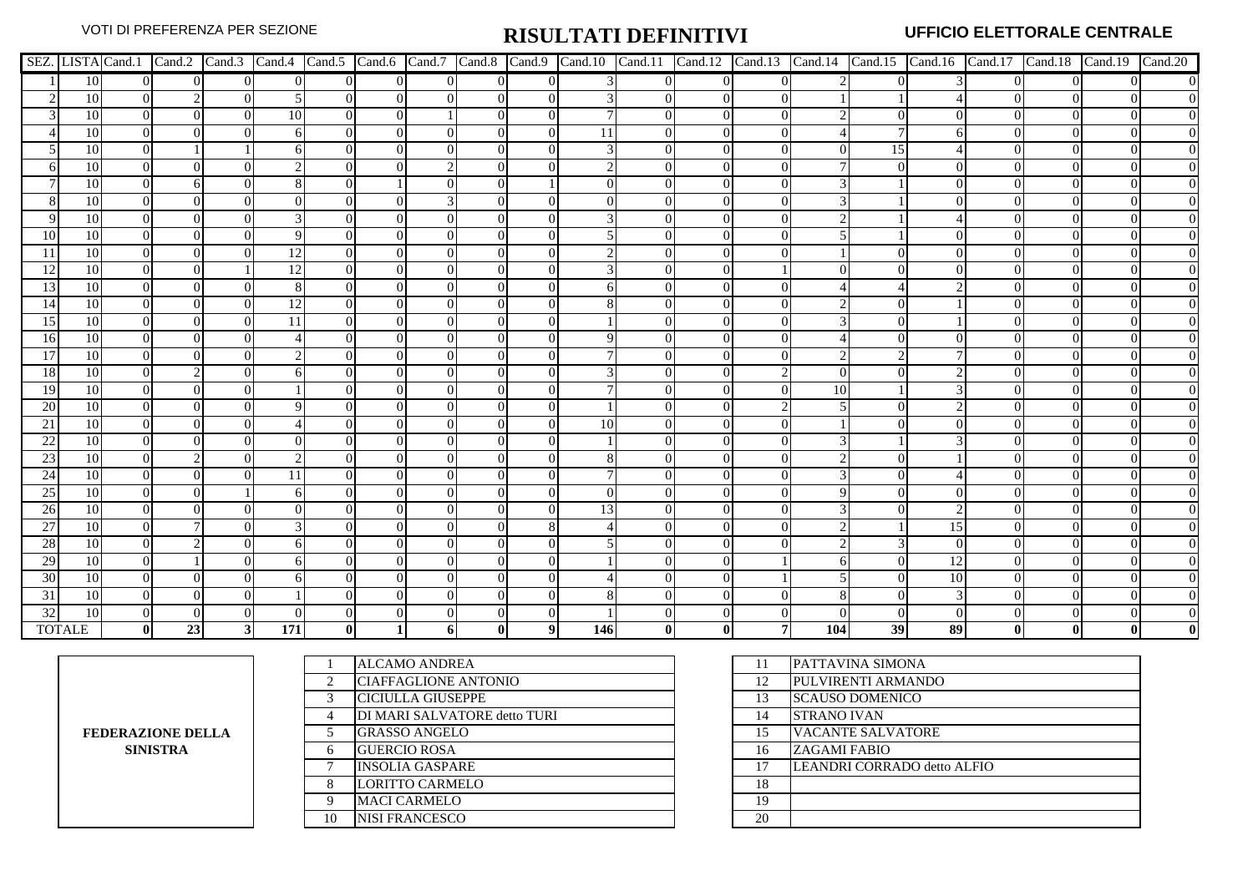|                 |                 |          |          |                |                  |          |          |          |                |                |     |              |          |                |     |    |          |  | SEZ. LISTA Cand.1   Cand.2   Cand.3   Cand.4   Cand.5   Cand.6   Cand.7   Cand.8   Cand.10   Cand.11   Cand.12   Cand.13   Cand.14   Cand.15   Cand.16   Cand.17   Cand.18   Cand.19   Cand.20 |                  |
|-----------------|-----------------|----------|----------|----------------|------------------|----------|----------|----------|----------------|----------------|-----|--------------|----------|----------------|-----|----|----------|--|------------------------------------------------------------------------------------------------------------------------------------------------------------------------------------------------|------------------|
|                 | 10              | $\Omega$ | $\Omega$ | $\overline{0}$ | $\Omega$         | $\Omega$ | $\Omega$ | $\Omega$ | $\overline{0}$ | $\Omega$       |     | $\Omega$     | $\Omega$ | $\overline{0}$ |     |    |          |  |                                                                                                                                                                                                | $\mathbf{0}$     |
|                 | 10              |          |          | $\Omega$       |                  | $\Omega$ |          |          | $\Omega$       | $\Omega$       |     |              | $\Omega$ |                |     |    |          |  |                                                                                                                                                                                                |                  |
|                 | 10              | $\Omega$ | $\Omega$ |                | 10               | $\Omega$ | $\Omega$ |          |                |                |     | $\Omega$     |          |                |     |    | $\Omega$ |  |                                                                                                                                                                                                | $\overline{0}$   |
|                 | 10              |          |          |                |                  | $\Omega$ |          |          |                | $\Omega$       | 11  |              |          |                |     |    |          |  |                                                                                                                                                                                                | $\boldsymbol{0}$ |
|                 | 10              | $\Omega$ |          |                |                  |          |          |          | 0              | $\Omega$       |     |              |          |                |     | 15 |          |  |                                                                                                                                                                                                | $\overline{0}$   |
|                 | 10              |          |          |                |                  |          |          |          |                |                |     |              |          |                |     |    |          |  |                                                                                                                                                                                                | $\overline{0}$   |
|                 | 10              |          |          |                |                  |          |          |          |                |                |     |              |          |                |     |    |          |  |                                                                                                                                                                                                |                  |
|                 | 10              |          |          |                |                  |          |          |          |                |                |     |              |          |                |     |    |          |  |                                                                                                                                                                                                |                  |
|                 | 10              |          |          |                |                  |          |          |          |                |                |     |              |          |                |     |    |          |  |                                                                                                                                                                                                |                  |
| 10              | 10              |          |          |                |                  |          |          |          |                |                |     |              |          |                |     |    |          |  |                                                                                                                                                                                                |                  |
|                 | 10              |          |          |                | 12               |          |          |          |                |                |     |              |          |                |     |    |          |  |                                                                                                                                                                                                |                  |
| 12              | 10              |          |          |                | 12               |          |          |          |                |                |     |              |          |                |     |    |          |  |                                                                                                                                                                                                |                  |
| 13              | 10              |          |          |                | 8                |          |          |          |                |                |     |              |          |                |     |    |          |  |                                                                                                                                                                                                |                  |
| 14              | 10              | $\Omega$ |          |                | 12               |          |          |          |                |                |     |              |          |                |     |    |          |  |                                                                                                                                                                                                | $\overline{0}$   |
| 15              | 10              |          |          |                | 11               |          |          |          |                | $\Omega$       |     |              |          |                |     |    |          |  |                                                                                                                                                                                                |                  |
| 16              | 10              |          |          |                |                  |          |          |          | 0              |                |     |              |          |                |     |    |          |  |                                                                                                                                                                                                | $\overline{0}$   |
| 17              | 10              |          |          |                |                  |          |          |          |                | ∩              |     |              |          |                |     |    |          |  |                                                                                                                                                                                                |                  |
| <sup>18</sup>   | 10              |          |          |                |                  |          |          |          |                |                |     |              |          |                |     |    |          |  |                                                                                                                                                                                                |                  |
| <sup>19</sup>   | 10              | $\Omega$ |          |                |                  |          |          |          |                |                |     |              |          |                | 10  |    |          |  |                                                                                                                                                                                                |                  |
| 20              | 10              | $\Omega$ |          |                |                  |          |          |          |                | $\Omega$       |     |              |          |                |     |    |          |  |                                                                                                                                                                                                |                  |
| 21              | 10              | $\Omega$ |          |                |                  |          |          |          |                |                | 10  |              |          |                |     |    |          |  |                                                                                                                                                                                                |                  |
| 22              | 10              | $\Omega$ |          |                |                  |          |          |          |                |                |     |              |          |                |     |    |          |  |                                                                                                                                                                                                |                  |
| 23              | 10              |          |          |                |                  |          |          |          |                |                |     |              |          |                |     |    |          |  |                                                                                                                                                                                                |                  |
| 24              | 10              |          |          |                |                  |          |          |          |                |                |     |              |          |                |     |    |          |  |                                                                                                                                                                                                |                  |
| 25              | 10              | $\Omega$ |          |                |                  |          |          |          |                |                |     |              |          |                |     |    |          |  |                                                                                                                                                                                                | $\boldsymbol{0}$ |
| 26              | 10              | ∩        |          |                | $\theta$         |          |          |          | 0              | $\Omega$       | 13  |              |          |                |     |    |          |  |                                                                                                                                                                                                | $\boldsymbol{0}$ |
| $\overline{27}$ | 10              |          |          |                |                  |          |          |          | 0              |                |     |              |          |                |     |    | 15       |  |                                                                                                                                                                                                | $\overline{0}$   |
| 28              | 10              |          |          |                |                  |          |          |          |                |                |     |              |          |                |     |    | $\Omega$ |  |                                                                                                                                                                                                | $\overline{0}$   |
| 29              | 10              |          |          |                |                  |          |          |          |                |                |     |              |          |                |     |    | 12       |  |                                                                                                                                                                                                |                  |
| 30              | 10              | $\Omega$ |          |                |                  |          |          |          |                | $\Omega$       |     |              |          |                |     |    | 10       |  |                                                                                                                                                                                                | $\overline{0}$   |
| 31              | 10              |          |          |                |                  |          |          |          |                | $\Omega$       |     |              |          |                |     |    |          |  |                                                                                                                                                                                                |                  |
| 32              | $\overline{10}$ |          |          |                |                  |          |          |          |                |                |     |              |          |                |     |    | $\Omega$ |  |                                                                                                                                                                                                |                  |
|                 | <b>TOTALE</b>   | 01       | 23       | 31             | $\overline{171}$ |          |          | 61       |                | 9 <sup>1</sup> | 146 | $\mathbf{0}$ |          | 7              | 104 | 39 | 89       |  |                                                                                                                                                                                                |                  |

**FEDERAZIONE DELLA SINISTRA**

|              | <b>ALCAMO ANDREA</b>         | 11 | <b>PATTAVINA SIMONA</b>     |
|--------------|------------------------------|----|-----------------------------|
| 2            | CIAFFAGLIONE ANTONIO         | 12 | PULVIRENTI ARMANDO          |
| 3            | <b>CICIULLA GIUSEPPE</b>     | 13 | <b>SCAUSO DOMENICO</b>      |
| 4            | DI MARI SALVATORE detto TURI | 14 | <b>STRANO IVAN</b>          |
|              | <b>GRASSO ANGELO</b>         | 15 | <b>VACANTE SALVATORE</b>    |
| 6            | <b>GUERCIO ROSA</b>          | 16 | <b>ZAGAMI FABIO</b>         |
| $\mathbf{r}$ | <b>INSOLIA GASPARE</b>       |    | LEANDRI CORRADO detto ALFIO |
| 8            | <b>LORITTO CARMELO</b>       | 18 |                             |
| 9            | <b>MACI CARMELO</b>          | 19 |                             |
| 10           | <b>NISI FRANCESCO</b>        | 20 |                             |
|              |                              |    |                             |

| 11 | PATTAVINA SIMONA            |
|----|-----------------------------|
| 12 | PULVIRENTI ARMANDO          |
| 13 | <b>SCAUSO DOMENICO</b>      |
| 14 | <b>STRANO IVAN</b>          |
| 15 | <b>VACANTE SALVATORE</b>    |
| 16 | <b>ZAGAMI FABIO</b>         |
| 17 | LEANDRI CORRADO detto ALFIO |
| 18 |                             |
| 19 |                             |
| 20 |                             |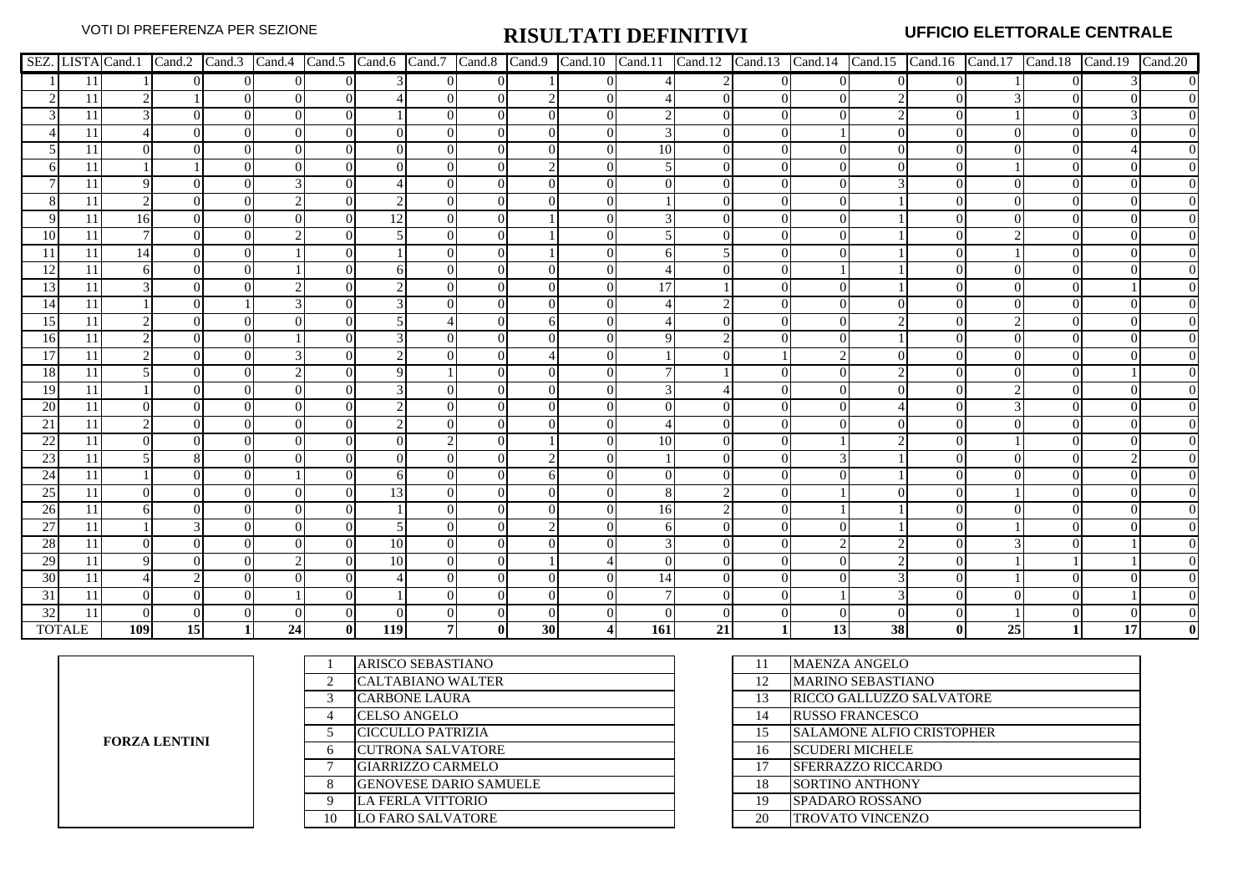|           |                 |     |          |                |    |              |          |          |              |    |          |            |          |          |                 |           |                |    | SEZ. LISTA Cand.1 Cand.2 Cand.3 Cand.4 Cand.5 Cand.6 Cand.7 Cand.8 Cand.9 Cand.10 Cand.11 Cand.12 Cand.13 Cand.14 Cand.14 Cand.15 Cand.16 Cand.17 Cand.18 Cand.19 Cand.19 Cand.20 |                  |
|-----------|-----------------|-----|----------|----------------|----|--------------|----------|----------|--------------|----|----------|------------|----------|----------|-----------------|-----------|----------------|----|-----------------------------------------------------------------------------------------------------------------------------------------------------------------------------------|------------------|
|           | 11              |     | $\Omega$ | $\overline{0}$ |    |              |          | $\Omega$ | $\Omega$     |    | $\Omega$ |            |          | $\Omega$ | $\overline{0}$  |           | $\overline{0}$ |    |                                                                                                                                                                                   | $\mathbf{0}$     |
|           | 11              |     |          | $\Omega$       |    |              |          | $\Omega$ | $\Omega$     |    |          |            | $\Omega$ |          |                 |           | $\Omega$       |    |                                                                                                                                                                                   |                  |
|           | 11              |     | $\Omega$ | $\Omega$       |    |              |          |          |              |    | $\Omega$ |            |          |          |                 |           | $\overline{0}$ |    |                                                                                                                                                                                   |                  |
|           | 11              |     | $\Omega$ | $\Omega$       |    |              | $\Omega$ |          |              |    |          |            |          |          |                 |           | $\Omega$       |    |                                                                                                                                                                                   |                  |
|           | 11              |     |          | $\Omega$       |    |              |          |          | $\Omega$     |    |          | 10         |          |          |                 |           |                |    |                                                                                                                                                                                   |                  |
|           | 11              |     |          |                |    |              | $\Omega$ |          |              |    |          |            |          |          |                 |           |                |    |                                                                                                                                                                                   |                  |
|           | 11              |     |          |                |    |              |          |          |              |    |          |            |          |          |                 |           |                |    |                                                                                                                                                                                   |                  |
|           | 11              |     |          | $\Omega$       |    |              |          |          |              |    |          |            |          |          | $\Omega$        |           |                |    |                                                                                                                                                                                   |                  |
|           | 11              | 16  | $\Omega$ |                |    |              | 12       |          |              |    |          |            |          |          |                 |           |                |    |                                                                                                                                                                                   |                  |
| 10        | 11              |     |          |                |    |              |          |          |              |    |          |            |          |          |                 |           |                |    |                                                                                                                                                                                   |                  |
| -11       | 11              | 14  |          |                |    |              |          |          |              |    |          |            |          |          |                 |           |                |    |                                                                                                                                                                                   |                  |
| -12       | 11              |     |          |                |    |              |          |          |              |    |          |            |          |          |                 |           |                |    |                                                                                                                                                                                   |                  |
| 13        | 11              |     |          |                |    |              |          |          |              |    |          |            |          |          |                 |           |                |    |                                                                                                                                                                                   |                  |
| 14        | 11              |     |          |                |    |              |          |          |              |    |          |            |          |          |                 |           |                |    |                                                                                                                                                                                   | $\overline{0}$   |
| 15        | 11              |     | $\Omega$ | $\Omega$       |    |              |          |          |              |    |          |            |          |          | ∩               |           | $\Omega$       |    |                                                                                                                                                                                   | $\overline{0}$   |
| 16        | 11              |     |          | $\Omega$       |    |              |          |          |              |    |          |            |          |          |                 |           |                |    |                                                                                                                                                                                   |                  |
| 17        | 11              |     |          |                |    |              |          |          |              |    |          |            |          |          |                 |           |                |    |                                                                                                                                                                                   |                  |
| <b>18</b> | 11              |     |          |                |    |              |          |          |              |    |          |            |          |          |                 |           |                |    |                                                                                                                                                                                   |                  |
| 19        | 11              |     |          |                |    |              |          |          |              |    |          |            |          |          |                 |           |                |    |                                                                                                                                                                                   |                  |
| 20        | 11              |     |          |                |    |              |          |          |              |    |          |            |          |          |                 |           |                |    |                                                                                                                                                                                   |                  |
| 21        | 11              |     |          |                |    |              |          |          |              |    |          |            |          |          |                 |           |                |    |                                                                                                                                                                                   |                  |
| 22        | 11              |     |          |                |    |              |          |          |              |    |          | 10         |          |          |                 |           |                |    |                                                                                                                                                                                   |                  |
| 23        | 11              |     |          |                |    |              |          |          |              |    |          |            |          |          |                 |           |                |    |                                                                                                                                                                                   |                  |
| 24        | 11              |     |          | $\Omega$       |    |              | 61       |          |              |    |          |            |          |          |                 |           | $\theta$       |    |                                                                                                                                                                                   | $\overline{0}$   |
| 25        | 11              |     | $\Omega$ | $\Omega$       |    |              | 13       |          |              | ∩  |          |            |          |          |                 |           | $\Omega$       |    |                                                                                                                                                                                   | $\overline{0}$   |
| 26        | 11              |     |          | $\Omega$       |    |              |          |          | $\Omega$     |    |          | 16         |          |          |                 |           | $\Omega$       |    |                                                                                                                                                                                   | $\overline{0}$   |
| 27        | 11              |     |          | $\Omega$       |    |              |          |          |              |    |          |            |          |          |                 |           |                |    |                                                                                                                                                                                   | $\overline{0}$   |
| 28        | 11              |     |          |                |    |              | 10       |          |              |    |          |            |          |          |                 |           |                |    |                                                                                                                                                                                   |                  |
| 29        | 11              |     |          |                |    |              | 10       |          |              |    |          |            |          |          |                 |           | $\theta$       |    |                                                                                                                                                                                   |                  |
| 30        | $\overline{11}$ |     |          |                |    |              |          |          |              |    |          | 14         | $\Omega$ |          |                 |           | 0              |    |                                                                                                                                                                                   | $\boldsymbol{0}$ |
| 31        | 11              |     |          |                |    |              |          |          |              |    |          |            |          |          |                 |           | $\Omega$       |    |                                                                                                                                                                                   |                  |
| 32        | 11              |     |          |                |    |              |          |          |              |    |          |            |          |          |                 |           |                |    |                                                                                                                                                                                   |                  |
|           | TOTALE          | 109 | 15       |                | 24 | $\mathbf{0}$ | 119      | 71       | $\mathbf{0}$ | 30 |          | <b>161</b> | 21       |          | 13 <sup>l</sup> | <b>38</b> | $\mathbf{0}$   | 25 | 17                                                                                                                                                                                |                  |

**FORZA LENTINI**

|                | ARISCO SEBASTIANO             |    | <b>MAENZA ANGELO</b>             |
|----------------|-------------------------------|----|----------------------------------|
| $\mathfrak{D}$ | <b>CALTABIANO WALTER</b>      | 12 | <b>MARINO SEBASTIANO</b>         |
|                | <b>CARBONE LAURA</b>          | 13 | <b>RICCO GALLUZZO SALVATORE</b>  |
| 4              | <b>CELSO ANGELO</b>           | 14 | <b>RUSSO FRANCESCO</b>           |
|                | CICCULLO PATRIZIA             | 15 | <b>SALAMONE ALFIO CRISTOPHER</b> |
| 6              | <b>CUTRONA SALVATORE</b>      | 16 | <b>SCUDERI MICHELE</b>           |
|                | <b>GIARRIZZO CARMELO</b>      | 17 | <b>SFERRAZZO RICCARDO</b>        |
| 8              | <b>GENOVESE DARIO SAMUELE</b> | 18 | <b>SORTINO ANTHONY</b>           |
| 9              | <b>LA FERLA VITTORIO</b>      | 19 | <b>SPADARO ROSSANO</b>           |
| 10             | <b>LO FARO SALVATORE</b>      | 20 | <b>TROVATO VINCENZO</b>          |
|                |                               |    |                                  |

| 11 | MAENZA ANGELO                    |
|----|----------------------------------|
| 12 | <b>MARINO SEBASTIANO</b>         |
| 13 | RICCO GALLUZZO SALVATORE         |
| 14 | <b>RUSSO FRANCESCO</b>           |
| 15 | <b>SALAMONE ALFIO CRISTOPHER</b> |
| 16 | SCUDERI MICHELE                  |
| 17 | <b>SFERRAZZO RICCARDO</b>        |
| 18 | SORTINO ANTHONY                  |
| 19 | <b>SPADARO ROSSANO</b>           |
| 20 | TROVATO VINCENZO                 |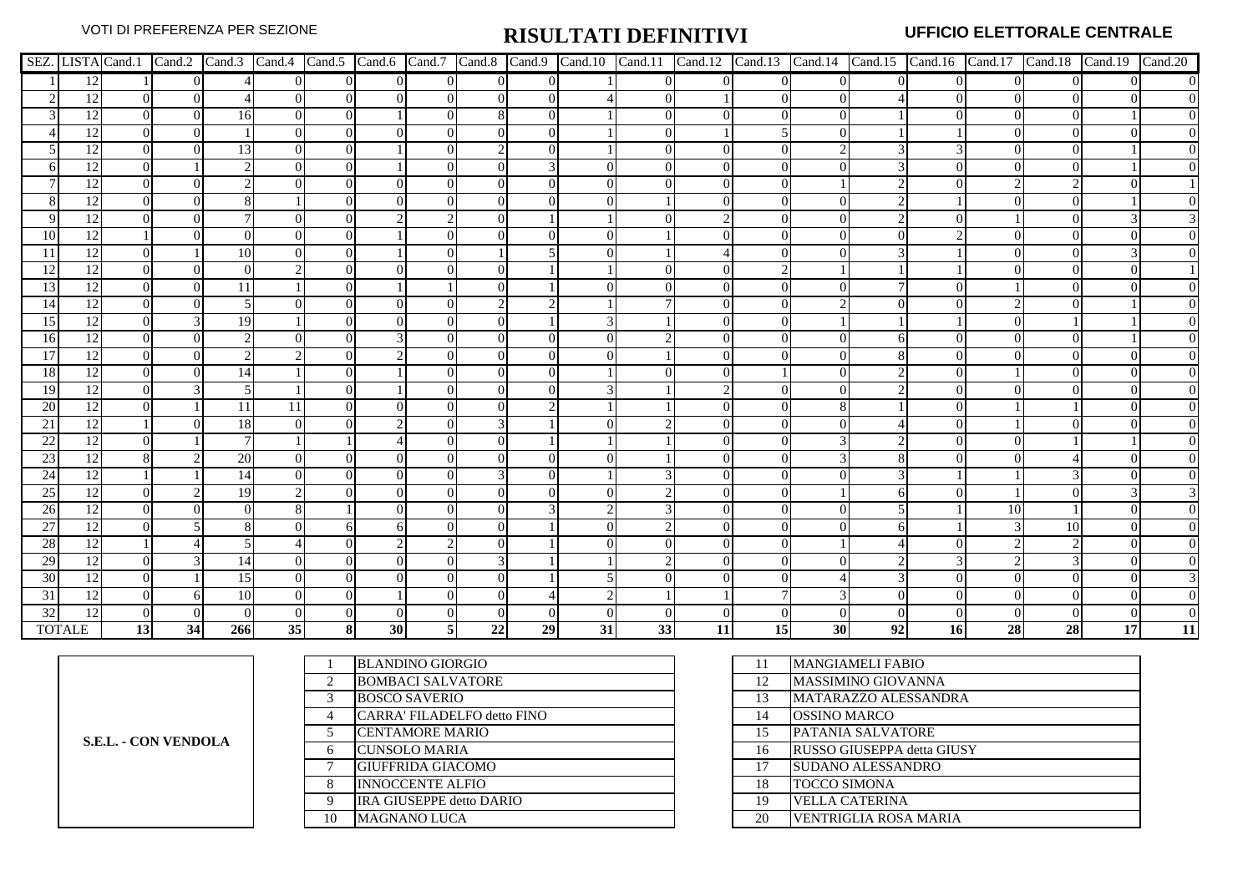|                 |               |                 |                |     |                |                |          |          |                |          |    |                |                |                |                |    |                | SEZ. LISTA Cand.1   Cand.2   Cand.3   Cand.4   Cand.5   Cand.6   Cand.7   Cand.8   Cand.10   Cand.11   Cand.12   Cand.13   Cand.14   Cand.15   Cand.16   Cand.17   Cand.18   Cand.19   Cand.20 |    |    |                  |
|-----------------|---------------|-----------------|----------------|-----|----------------|----------------|----------|----------|----------------|----------|----|----------------|----------------|----------------|----------------|----|----------------|------------------------------------------------------------------------------------------------------------------------------------------------------------------------------------------------|----|----|------------------|
|                 | 12            |                 | $\overline{0}$ |     | $\overline{0}$ | $\overline{0}$ | $\Omega$ | $\Omega$ | $\overline{0}$ | $\Omega$ |    | $\overline{0}$ | $\overline{0}$ | $\overline{0}$ | $\overline{0}$ |    | $\overline{0}$ |                                                                                                                                                                                                |    |    | $\boldsymbol{0}$ |
|                 | 12            |                 | $\Omega$       |     |                | $\Omega$       |          |          | $\Omega$       | $\Omega$ |    |                |                |                | $\Omega$       |    | $\Omega$       |                                                                                                                                                                                                |    |    |                  |
|                 | 12            | $\Omega$        | $\Omega$       | 16  | $\Omega$       | $\Omega$       |          |          | 8              | $\Omega$ |    | $\Omega$       |                |                | $\Omega$       |    | $\Omega$       |                                                                                                                                                                                                |    |    | $\overline{0}$   |
|                 | 12            |                 | $\Omega$       |     |                | $\Omega$       |          |          |                | $\Omega$ |    |                |                | 5              | $\Omega$       |    |                |                                                                                                                                                                                                |    |    | $\boldsymbol{0}$ |
|                 | 12            |                 |                | 13  |                | $\Omega$       |          |          | $\mathfrak{D}$ |          |    |                |                | 0              |                |    |                |                                                                                                                                                                                                |    |    |                  |
|                 | 12            |                 |                |     |                |                |          |          |                |          |    |                |                |                |                |    |                |                                                                                                                                                                                                |    |    |                  |
|                 | 12            |                 |                |     |                |                |          |          |                |          |    |                |                |                |                |    |                |                                                                                                                                                                                                |    |    |                  |
|                 | 12            |                 |                |     |                |                |          |          |                |          |    |                |                |                |                |    |                |                                                                                                                                                                                                |    |    |                  |
|                 | 12            |                 |                |     |                |                |          |          |                |          |    |                |                |                |                |    |                |                                                                                                                                                                                                |    |    |                  |
| 10              | 12            |                 |                |     |                |                |          |          |                |          |    |                |                |                |                |    |                |                                                                                                                                                                                                |    |    |                  |
|                 | 12            |                 |                | 10  |                |                |          |          |                |          |    |                |                |                |                |    |                |                                                                                                                                                                                                |    |    |                  |
| 12              | 12            |                 |                |     |                |                |          |          |                |          |    |                |                |                |                |    |                |                                                                                                                                                                                                |    |    |                  |
| 13              | 12            |                 |                | 11  |                |                |          |          |                |          |    |                |                |                |                |    | $\theta$       |                                                                                                                                                                                                |    |    |                  |
| 14              | 12            |                 |                |     |                |                |          |          |                |          |    |                |                |                |                |    | 0              |                                                                                                                                                                                                |    |    |                  |
| 15              | 12            |                 |                | 19  |                |                |          |          |                |          |    |                |                |                |                |    |                |                                                                                                                                                                                                |    |    |                  |
| <b>16</b>       | 12            |                 |                |     |                |                |          |          |                |          |    |                |                |                |                |    |                |                                                                                                                                                                                                |    |    |                  |
| 17              | 12            |                 |                |     |                |                |          |          |                |          |    |                |                |                |                |    |                |                                                                                                                                                                                                |    |    | $\overline{0}$   |
| <sup>18</sup>   | 12            |                 |                |     |                |                |          |          |                |          |    |                |                |                |                |    |                |                                                                                                                                                                                                |    |    |                  |
| <sup>19</sup>   | 12            |                 |                |     |                |                |          |          |                |          |    |                |                |                |                |    |                |                                                                                                                                                                                                |    |    | $\overline{0}$   |
| 20              | 12            |                 |                | 11  | 11             |                |          |          |                |          |    |                |                |                |                |    |                |                                                                                                                                                                                                |    |    | $\overline{0}$   |
| 21              | 12            |                 |                | 18  |                |                |          |          |                |          |    |                |                |                |                |    |                |                                                                                                                                                                                                |    |    |                  |
| 22              | 12            |                 |                |     |                |                |          |          | 0              |          |    |                |                | 0              |                |    |                |                                                                                                                                                                                                |    |    | $\overline{0}$   |
| 23              | 12            |                 |                | 20  |                |                |          |          |                |          |    |                |                |                |                |    |                |                                                                                                                                                                                                |    |    |                  |
| 24              | 12            |                 |                | 14  |                |                |          |          |                |          |    |                |                |                |                |    |                |                                                                                                                                                                                                |    |    |                  |
| 25              | 12            |                 |                | 19  |                |                |          |          |                |          |    |                |                |                |                |    | $\Omega$       |                                                                                                                                                                                                |    |    |                  |
| $\overline{26}$ | 12            |                 |                |     |                |                |          |          |                |          |    |                |                |                |                |    |                | 10                                                                                                                                                                                             |    |    | $\overline{0}$   |
| 27              | 12            |                 |                |     |                |                |          |          | 0              |          |    |                |                |                |                |    |                |                                                                                                                                                                                                | 10 |    | $\overline{0}$   |
| 28              | 12            |                 |                |     |                |                |          |          |                |          |    |                |                |                |                |    |                |                                                                                                                                                                                                |    |    |                  |
| 29              | 12            |                 |                |     |                |                |          |          |                |          |    |                |                |                |                |    |                |                                                                                                                                                                                                |    |    |                  |
| 30              | 12            |                 |                | 15  |                |                |          |          |                |          |    |                |                |                |                |    |                |                                                                                                                                                                                                |    |    |                  |
| 31              | 12            |                 |                | 10  |                |                |          |          |                |          |    |                |                |                |                |    | 0              |                                                                                                                                                                                                |    |    | $\overline{0}$   |
| 32              | 12            |                 |                |     |                |                |          |          |                |          |    |                |                |                |                |    |                |                                                                                                                                                                                                |    |    |                  |
|                 | <b>TOTALE</b> | 13 <sup>1</sup> | 34             | 266 | 35             | 81             | 30       |          | 22             | 29       | 31 | 33             | 11             | 15             | 30             | 92 | 16             | 28                                                                                                                                                                                             | 28 | 17 | 11               |

|    | <b>BLANDINO GIORGIO</b>     |    | MANGIAMELI FABIO                   |
|----|-----------------------------|----|------------------------------------|
| 2  | <b>BOMBACI SALVATORE</b>    | 12 | MASSIMINO GIOVANNA                 |
| 3  | <b>BOSCO SAVERIO</b>        | 13 | MATARAZZO ALESSANDRA               |
| 4  | CARRA' FILADELFO detto FINO | 14 | <b>JOSSINO MARCO</b>               |
| 5  | <b>CENTAMORE MARIO</b>      | 15 | PATANIA SALVATORE                  |
| 6  | <b>CUNSOLO MARIA</b>        | 16 | <b>IRUSSO GIUSEPPA detta GIUSY</b> |
| 7  | <b>GIUFFRIDA GIACOMO</b>    |    | <b>SUDANO ALESSANDRO</b>           |
| 8  | <b>INNOCCENTE ALFIO</b>     | 18 | <b>TOCCO SIMONA</b>                |
| 9  | IRA GIUSEPPE detto DARIO    | 19 | <b>VELLA CATERINA</b>              |
| 10 | <b>MAGNANO LUCA</b>         | 20 | <b>VENTRIGLIA ROSA MARIA</b>       |
|    |                             |    |                                    |

| 11 | <b>MANGIAMELI FABIO</b>      |
|----|------------------------------|
| 12 | <b>MASSIMINO GIOVANNA</b>    |
| 13 | MATARAZZO ALESSANDRA         |
| 14 | <b>OSSINO MARCO</b>          |
| 15 | PATANIA SALVATORE            |
| 16 | RUSSO GIUSEPPA detta GIUSY   |
| 17 | <b>SUDANO ALESSANDRO</b>     |
| 18 | <b>TOCCO SIMONA</b>          |
| 19 | VELLA CATERINA               |
| 20 | <b>VENTRIGLIA ROSA MARIA</b> |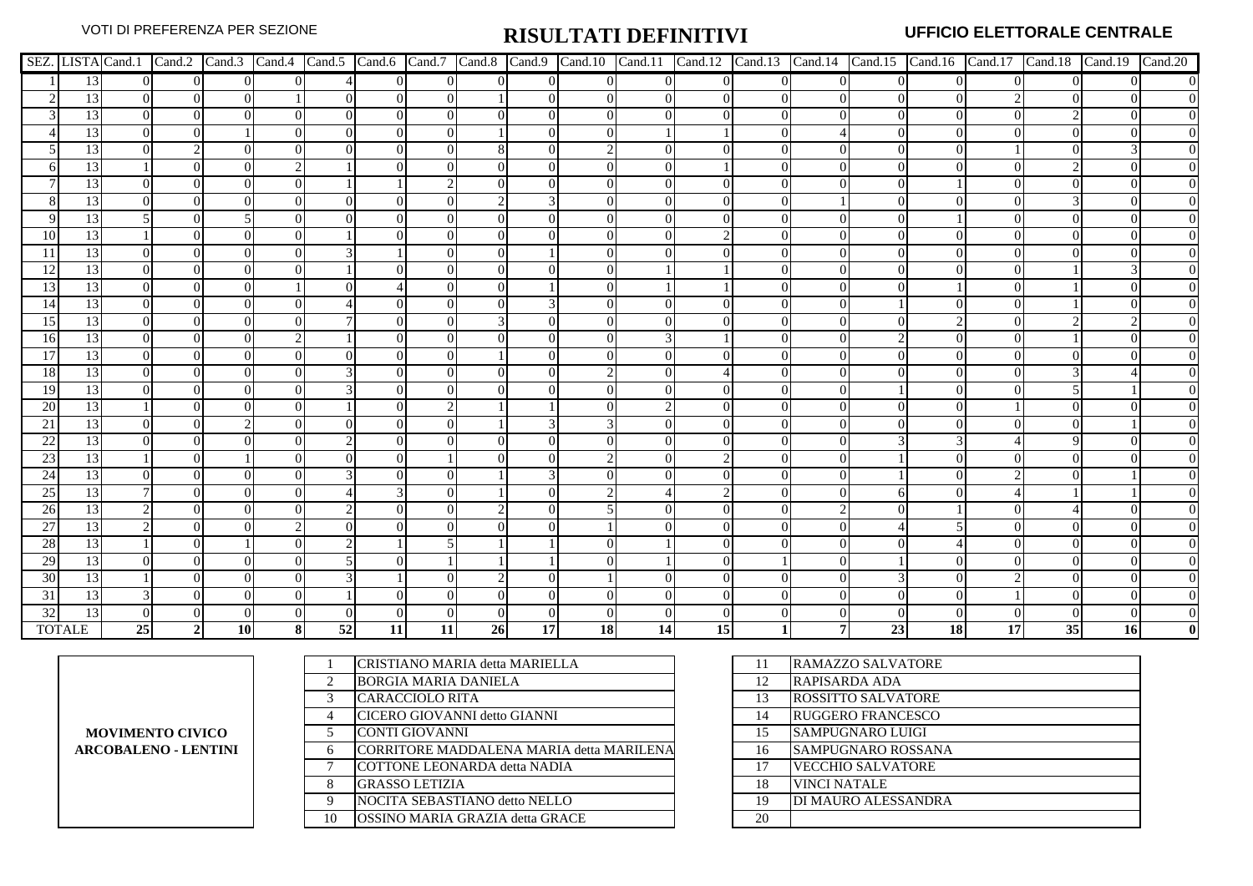|               |                 |          |                |                |     |    |                |          |                |          |           |                |                 |                |                |    |           |    |                 | SEZ. LISTA Cand.1 Cand.2 Cand.3 Cand.4 Cand.5 Cand.6 Cand.7 Cand.8 Cand.9 Cand.10 Cand.11 Cand.11 Cand.12 Cand.13 Cand.14 Cand.14 Cand.15 Cand.16 Cand.17 Cand.18 Cand.19 Cand.19 Cand.19 |
|---------------|-----------------|----------|----------------|----------------|-----|----|----------------|----------|----------------|----------|-----------|----------------|-----------------|----------------|----------------|----|-----------|----|-----------------|-------------------------------------------------------------------------------------------------------------------------------------------------------------------------------------------|
|               | 13              | $\Omega$ | $\overline{0}$ | $\overline{0}$ |     |    | $\overline{0}$ | $\Omega$ | $\overline{0}$ | $\Omega$ |           | $\overline{0}$ | $\Omega$        | $\overline{0}$ | $\overline{0}$ |    | $\Omega$  |    | $\Omega$        |                                                                                                                                                                                           |
|               | 13              |          | $\overline{0}$ | $\Omega$       |     |    | $\Omega$       |          |                |          |           | $\Omega$       | $\Omega$        | 0              | $\Omega$       |    |           |    |                 |                                                                                                                                                                                           |
|               | 13              | $\Omega$ | $\Omega$       | $\Omega$       |     |    | $\Omega$       |          |                |          |           | $\Omega$       |                 | 0              | $\Omega$       |    |           |    |                 |                                                                                                                                                                                           |
|               | 13              |          | $\Omega$       |                |     |    | $\Omega$       |          |                |          |           |                |                 |                |                |    |           |    |                 |                                                                                                                                                                                           |
|               | 13              |          |                |                |     |    | $\Omega$       |          | 8              | $\Omega$ |           |                |                 |                |                |    |           |    |                 |                                                                                                                                                                                           |
|               | 13              |          |                |                |     |    |                |          |                |          |           |                |                 |                |                |    |           |    |                 |                                                                                                                                                                                           |
|               | 13              |          |                |                |     |    |                |          |                |          |           |                |                 |                |                |    |           |    |                 |                                                                                                                                                                                           |
|               | 13              |          |                |                |     |    | $\Omega$       |          |                |          |           |                |                 |                |                |    |           |    |                 |                                                                                                                                                                                           |
|               | 13              |          |                |                |     |    |                |          |                |          |           |                |                 |                |                |    |           |    |                 |                                                                                                                                                                                           |
| 10            | 13              |          |                |                |     |    |                |          |                |          |           |                |                 |                |                |    |           |    |                 |                                                                                                                                                                                           |
|               | 13              |          |                |                |     |    |                |          |                |          |           |                |                 |                |                |    |           |    |                 |                                                                                                                                                                                           |
| 12            | 13              |          |                |                |     |    |                |          |                |          |           |                |                 |                |                |    |           |    |                 |                                                                                                                                                                                           |
| 13            | 13              |          | $\Omega$       |                |     |    |                |          |                |          |           |                |                 |                |                |    |           |    |                 |                                                                                                                                                                                           |
| 14            | 13              | $\Omega$ | $\Omega$       | $\Omega$       |     |    |                |          |                |          |           |                |                 |                |                |    |           |    |                 |                                                                                                                                                                                           |
| 15            | 13              |          | $\Omega$       | $\Omega$       |     |    | $\Omega$       |          |                | $\Omega$ |           |                |                 | $\theta$       | $\Omega$       |    |           |    |                 |                                                                                                                                                                                           |
| <sup>16</sup> | 13              |          |                |                |     |    |                |          |                |          |           |                |                 |                |                |    |           |    |                 |                                                                                                                                                                                           |
| 17            | 13              |          |                |                |     |    | $\Omega$       |          |                |          |           |                |                 |                |                |    |           |    |                 |                                                                                                                                                                                           |
| <b>18</b>     | 13              |          |                |                |     |    |                |          |                |          |           |                |                 |                |                |    |           |    |                 |                                                                                                                                                                                           |
| 19            | 13              |          |                |                |     |    | $\Omega$       |          |                |          |           |                |                 |                | 0              |    |           |    |                 |                                                                                                                                                                                           |
| 20            | 13              |          |                |                |     |    |                |          |                |          |           |                |                 |                |                |    |           |    |                 |                                                                                                                                                                                           |
| 21            | 13              |          |                |                |     |    |                |          |                |          |           |                |                 |                |                |    |           |    |                 |                                                                                                                                                                                           |
| 22            | 13              |          |                |                |     |    |                |          |                |          |           |                |                 |                |                |    |           |    |                 |                                                                                                                                                                                           |
| 23            | 13              |          |                |                |     |    |                |          |                |          |           |                |                 |                |                |    |           |    |                 |                                                                                                                                                                                           |
| 24            | 13              |          | $\Omega$       |                |     |    |                |          |                |          |           |                |                 |                |                |    |           |    |                 |                                                                                                                                                                                           |
| 25            | 13              |          | $\Omega$       |                |     |    |                |          |                |          |           |                |                 |                | $\Omega$       |    |           |    |                 |                                                                                                                                                                                           |
| 26            | 13              |          | $\Omega$       |                |     |    | $\Omega$       |          |                |          |           |                |                 |                |                |    |           |    |                 |                                                                                                                                                                                           |
| 27            | 13              |          |                |                |     |    |                |          |                |          |           |                |                 |                |                |    |           |    |                 |                                                                                                                                                                                           |
| 28            | 13              |          |                |                |     |    |                |          |                |          |           |                |                 |                |                |    |           |    |                 |                                                                                                                                                                                           |
| 29            | 13              |          |                |                |     |    |                |          |                |          |           |                |                 |                |                |    |           |    |                 |                                                                                                                                                                                           |
| 30            | 13              |          |                |                |     |    |                |          |                |          |           |                |                 |                |                |    |           |    |                 |                                                                                                                                                                                           |
| 31            | $\overline{13}$ |          |                |                |     |    |                |          |                |          |           |                |                 |                |                |    |           |    |                 |                                                                                                                                                                                           |
| 32            | 13              |          |                |                |     |    |                |          |                |          |           |                |                 |                |                |    |           |    |                 |                                                                                                                                                                                           |
|               | <b>TOTALE</b>   | 25       | 2 <sup>1</sup> | <b>10</b>      | -81 | 52 | 11             | 11       | 26             | 17       | <b>18</b> | 14             | 15 <sup>1</sup> |                |                | 23 | <b>18</b> | 17 | 35 <sup>1</sup> | <b>16</b>                                                                                                                                                                                 |

**MOVIMENTO CIVICO ARCOBALENO - LENTINI**

|                               | CRISTIANO MARIA detta MARIELLA           | 11 | <b>RAMAZZO SALVATORE</b>   |
|-------------------------------|------------------------------------------|----|----------------------------|
| $\mathfrak{D}_{\mathfrak{p}}$ | <b>BORGIA MARIA DANIELA</b>              | 12 | RAPISARDA ADA              |
| 3                             | <b>CARACCIOLO RITA</b>                   | 13 | <b>ROSSITTO SALVATORE</b>  |
| 4                             | CICERO GIOVANNI detto GIANNI             | 14 | <b>RUGGERO FRANCESCO</b>   |
|                               | CONTI GIOVANNI                           | 15 | <b>SAMPUGNARO LUIGI</b>    |
| 6                             | CORRITORE MADDALENA MARIA detta MARILENA | 16 | <b>SAMPUGNARO ROSSANA</b>  |
| 7                             | <b>COTTONE LEONARDA detta NADIA</b>      | 17 | <b>VECCHIO SALVATORE</b>   |
| 8                             | <b>GRASSO LETIZIA</b>                    | 18 | <b>VINCI NATALE</b>        |
| 9                             | NOCITA SEBASTIANO detto NELLO            | 19 | <b>DI MAURO ALESSANDRA</b> |
| 10                            | OSSINO MARIA GRAZIA detta GRACE          | 20 |                            |
|                               |                                          |    |                            |

| 11 | RAMAZZO SALVATORE         |
|----|---------------------------|
| 12 | RAPISARDA ADA             |
| 13 | <b>ROSSITTO SALVATORE</b> |
| 14 | <b>RUGGERO FRANCESCO</b>  |
| 15 | SAMPUGNARO LUIGI          |
| 16 | SAMPUGNARO ROSSANA        |
| 17 | <b>VECCHIO SALVATORE</b>  |
| 18 | <b>VINCI NATALE</b>       |
| 19 | DI MAURO ALESSANDRA       |
| 20 |                           |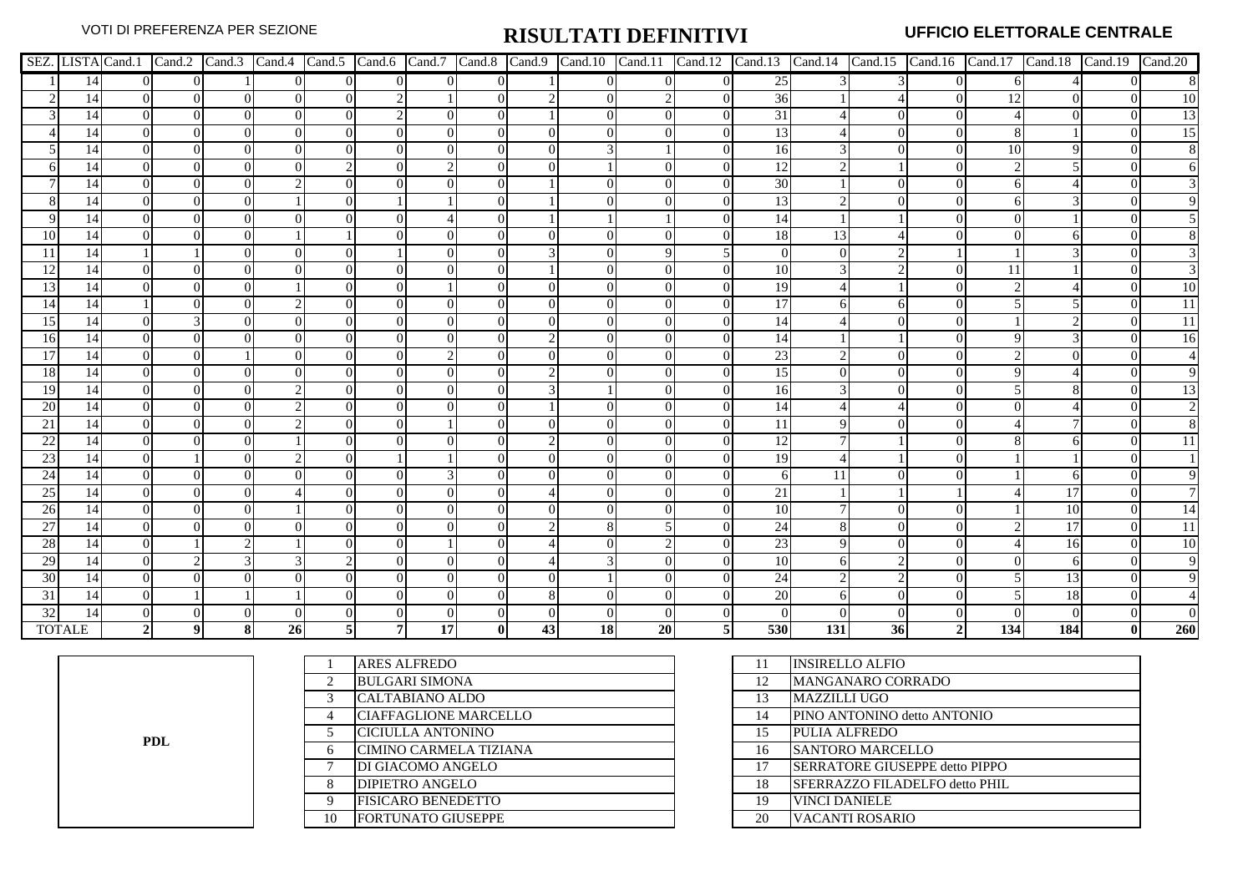|                 |                 |                |          |          |          |          |          |    |                |               | SEZ LISTA Cand.1 Cand.2 Cand.3 Cand.4 Cand.5 Cand.6 Cand.7 Cand.8 Cand.9 Cand.10 |          | Cand.11 Cand.12 Cand.13 |                |            |    |                | Cand.14 Cand.15 Cand.16 Cand.17 Cand.18 |     | Cand.19 Cand.20 |                 |
|-----------------|-----------------|----------------|----------|----------|----------|----------|----------|----|----------------|---------------|----------------------------------------------------------------------------------|----------|-------------------------|----------------|------------|----|----------------|-----------------------------------------|-----|-----------------|-----------------|
|                 | 14              |                | $\Omega$ |          |          | $\Omega$ |          |    | 0              |               |                                                                                  |          |                         | 25             |            |    |                |                                         |     |                 |                 |
|                 | 14              |                | $\Omega$ |          | $\Omega$ | $\Omega$ |          |    | 0              |               |                                                                                  |          |                         | 36             |            |    | 0              | 12                                      |     |                 | 10              |
|                 | 14              |                | ∩        |          | $\Omega$ |          | $\Omega$ |    | $\Omega$       |               |                                                                                  | $\Omega$ |                         | 31             |            |    | 0              |                                         |     |                 | 13              |
|                 | 14              |                |          |          | $\Omega$ | $\Omega$ |          |    | $\Omega$       | $\Omega$      |                                                                                  |          |                         | 13             |            |    |                |                                         |     |                 | $\overline{15}$ |
|                 | 14              | 0              |          |          | $\Omega$ | $\Omega$ |          |    | $\overline{0}$ | $\Omega$      |                                                                                  |          |                         | 16             |            |    |                | 10                                      |     |                 |                 |
|                 | 14              |                |          |          |          |          |          |    | $\Omega$       | $\Omega$      |                                                                                  |          |                         | 12             |            |    |                |                                         |     |                 |                 |
|                 | 14              |                |          |          |          | $\Omega$ |          |    | 0              |               |                                                                                  |          |                         | 30             |            |    |                |                                         |     |                 |                 |
|                 | 14              | $\Omega$       |          |          |          | $\Omega$ |          |    | 0              |               |                                                                                  |          |                         | 13             |            |    | 0              |                                         |     |                 |                 |
|                 | 14              |                |          |          | $\Omega$ | $\Omega$ |          |    | 0              |               |                                                                                  |          |                         | 14             |            |    |                |                                         |     |                 |                 |
| 10              | 14              |                |          |          |          |          |          |    | $\Omega$       | $\Omega$      |                                                                                  |          |                         | 18             | 13         |    |                |                                         |     |                 |                 |
| -11             | 14              |                |          |          | $\Omega$ | $\Omega$ |          |    | 0              |               |                                                                                  |          |                         | $\overline{0}$ | $\Omega$   |    |                |                                         |     |                 |                 |
| 12              | 14              |                |          |          |          |          |          |    |                |               |                                                                                  |          |                         | 10             |            |    |                |                                         |     |                 |                 |
| 13              | 14              | $\Omega$       | ∩        |          |          | $\Omega$ |          |    | 0              | $\Omega$      |                                                                                  | $\Omega$ |                         | 19             |            |    | $\theta$       |                                         |     |                 | 10              |
| 14              | 14              |                |          |          |          | $\Omega$ |          |    | $\Omega$       | $\Omega$      |                                                                                  | $\Omega$ |                         | 17             |            |    |                |                                         |     |                 | 11              |
| 15              | 14              | $\Omega$       |          | 0        | $\Omega$ | $\Omega$ |          |    | $\Omega$       | $\Omega$      |                                                                                  | $\Omega$ |                         | 14             |            |    | $\Omega$       |                                         |     |                 | $\overline{11}$ |
| <sup>16</sup>   | 14              | ∩              |          |          | $\Omega$ | $\Omega$ |          |    | $\Omega$       | $\mathcal{D}$ |                                                                                  |          |                         | 14             |            |    |                |                                         |     |                 | 16              |
| 17              | 14              |                |          |          |          |          |          |    |                |               |                                                                                  |          |                         | 23             |            |    |                |                                         |     |                 |                 |
| <b>18</b>       | 14              | 0              |          |          |          | $\Omega$ |          |    | 0              |               |                                                                                  |          |                         | 15             | $\Omega$   |    | $\theta$       |                                         |     |                 |                 |
| 19              | 14              | ∩              |          |          |          | $\Omega$ |          |    | $\Omega$       | $\mathcal{R}$ |                                                                                  |          |                         | 16             |            |    | ∩              |                                         |     |                 | 13              |
| 20              | 14              |                |          |          |          | $\Omega$ |          |    | 0              |               |                                                                                  |          |                         | 14             |            |    |                |                                         |     |                 |                 |
| 21              | 14              |                |          |          |          | $\Omega$ |          |    | 0              | $\Omega$      |                                                                                  |          |                         | 11             |            |    |                |                                         |     |                 |                 |
| 22              | 14              |                |          |          |          |          |          |    |                |               |                                                                                  |          |                         | 12             |            |    |                |                                         |     |                 |                 |
| 23              | 14              |                |          |          |          | $\Omega$ |          |    | $^{(1)}$       | $\Omega$      |                                                                                  | $\Omega$ |                         | 19             |            |    |                |                                         |     |                 |                 |
| 24              | 14              | $\Omega$       | ∩        |          | $\Omega$ | $\Omega$ |          |    | 0              | $\Omega$      |                                                                                  | $\Omega$ |                         | 6              | 11         |    | $\Omega$       |                                         |     |                 |                 |
| 25              | 14              |                |          |          |          | $\Omega$ |          |    | 0              |               |                                                                                  |          |                         | 21             |            |    |                |                                         | 17  |                 |                 |
| $\overline{26}$ | $\overline{14}$ |                |          | $\Omega$ |          | $\Omega$ |          |    | $\overline{0}$ | $\Omega$      |                                                                                  |          |                         | 10             |            |    | 0              |                                         | 10  |                 | 14              |
| 27              | 14              |                |          |          |          | $\Omega$ |          |    | $\overline{0}$ |               |                                                                                  |          |                         | 24             |            |    |                |                                         | 17  |                 | 11              |
| 28              | 14              |                |          |          |          | $\Omega$ |          |    | 0              |               |                                                                                  |          |                         | 23             | 9          |    |                |                                         | 16  |                 | 10              |
| 29              | 14              | 0              |          |          |          |          |          |    | $\Omega$       |               |                                                                                  |          |                         | 10             | 6          |    |                |                                         |     |                 | $\overline{9}$  |
| 30              | 14              |                |          |          |          | $\Omega$ |          |    | 0              | $\Omega$      |                                                                                  |          |                         | 24             |            |    |                |                                         | 13  |                 | οI              |
| $\overline{31}$ | 14              | $\Omega$       |          |          |          | $\Omega$ |          |    | $\Omega$       | 8             |                                                                                  | $\Omega$ |                         | 20             |            |    |                |                                         | 18  |                 |                 |
| 32              | 14              |                |          |          |          |          |          |    |                | $\Omega$      |                                                                                  | $\Omega$ |                         | $\Omega$       |            |    |                |                                         |     |                 |                 |
|                 | <b>TOTALE</b>   | $\overline{2}$ | 9        | $\bf{8}$ | 26       |          | 71       | 17 | $\mathbf{0}$   | 43            | $\overline{18}$                                                                  | 20       | 51                      | 530            | <b>131</b> | 36 | $\overline{2}$ | 134                                     | 184 | $\bf{0}$        | 260             |

**PDL**

|    | <b>ARES ALFREDO</b>          | 11 | <b>INSIRELLO ALFIO</b>                 |
|----|------------------------------|----|----------------------------------------|
|    | <b>BULGARI SIMONA</b>        | 12 | MANGANARO CORRADO                      |
|    | CALTABIANO ALDO              | 13 | <b>MAZZILLI UGO</b>                    |
| 4  | <b>CIAFFAGLIONE MARCELLO</b> | 14 | PINO ANTONINO detto ANTONIO            |
|    | CICIULLA ANTONINO            | 15 | PULIA ALFREDO                          |
| 6  | CIMINO CARMELA TIZIANA       | 16 | <b>SANTORO MARCELLO</b>                |
|    | DI GIACOMO ANGELO            | 17 | <b>ISERRATORE GIUSEPPE detto PIPPO</b> |
|    | <b>DIPIETRO ANGELO</b>       | 18 | SFERRAZZO FILADELFO detto PHIL         |
| 9  | <b>FISICARO BENEDETTO</b>    | 19 | <b>VINCI DANIELE</b>                   |
| 10 | <b>FORTUNATO GIUSEPPE</b>    | 20 | <b>VACANTI ROSARIO</b>                 |
|    |                              |    |                                        |

| 11 | <b>INSIRELLO ALFIO</b>         |
|----|--------------------------------|
| 12 | <b>MANGANARO CORRADO</b>       |
| 13 | <b>MAZZILLI UGO</b>            |
| 14 | PINO ANTONINO detto ANTONIO    |
| 15 | PULIA ALFREDO                  |
| 16 | <b>SANTORO MARCELLO</b>        |
| 17 | SERRATORE GIUSEPPE detto PIPPO |
| 18 | SFERRAZZO FILADELFO detto PHIL |
| 19 | <b>VINCI DANIELE</b>           |
| 20 | VACANTI ROSARIO                |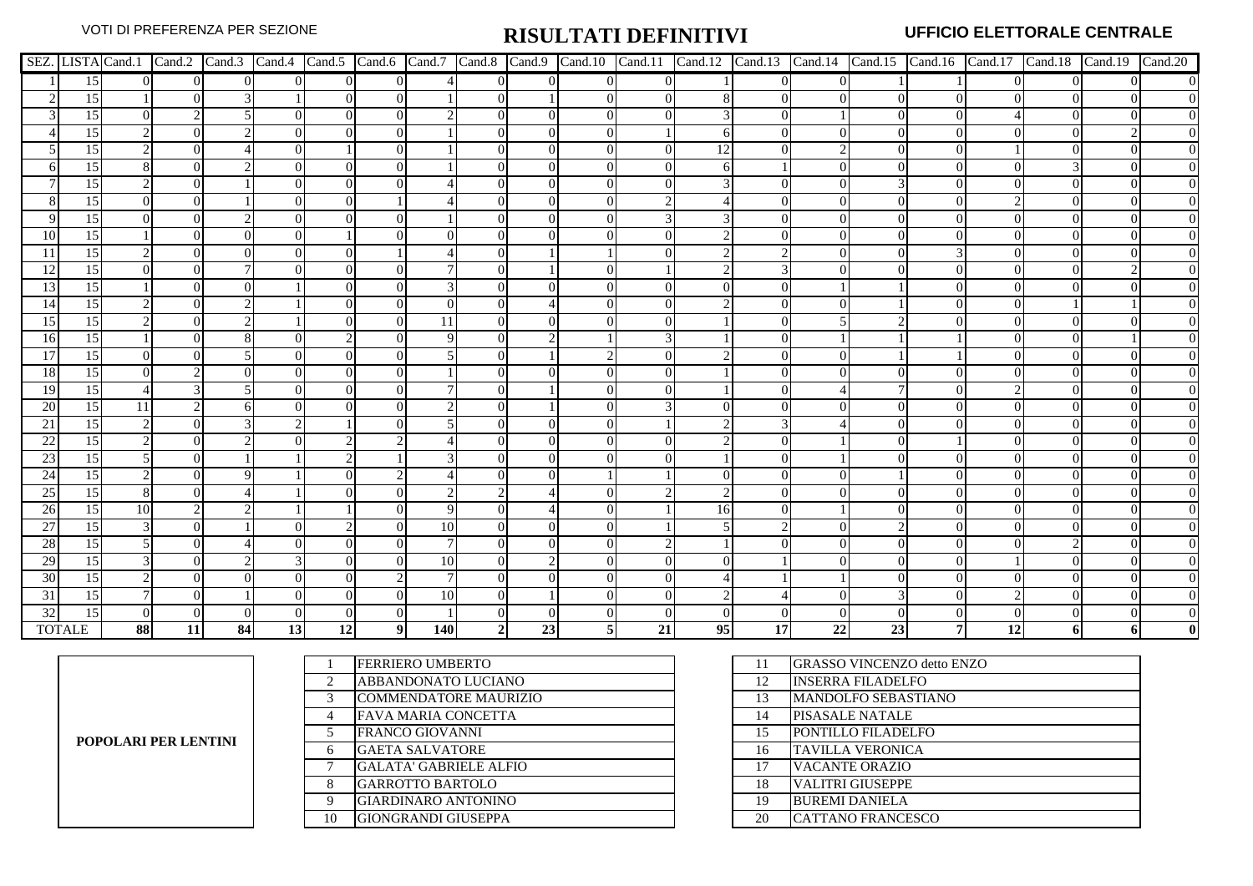|                 |                 |            |          |                |                |          |                |            |                |          |                |                |    |                |                |    |                |           |          | SEZ. LISTA Cand.1   Cand.2   Cand.3   Cand.4   Cand.5   Cand.6   Cand.7   Cand.8   Cand.10   Cand.11   Cand.12   Cand.13   Cand.14   Cand.15   Cand.16   Cand.17   Cand.18   Cand.19   Cand.20 |
|-----------------|-----------------|------------|----------|----------------|----------------|----------|----------------|------------|----------------|----------|----------------|----------------|----|----------------|----------------|----|----------------|-----------|----------|------------------------------------------------------------------------------------------------------------------------------------------------------------------------------------------------|
|                 | 15              | $\Omega$   | $\Omega$ | $\overline{0}$ | $\overline{0}$ | $\Omega$ | $\Omega$       |            | $\overline{0}$ | $\Omega$ | $\overline{0}$ | $\overline{0}$ |    | $\overline{0}$ | $\overline{0}$ |    |                |           | $\Omega$ |                                                                                                                                                                                                |
|                 | 15              |            |          |                |                | $\Omega$ |                |            | 0              |          |                | $\overline{0}$ |    | 0              |                |    | $\theta$       |           |          |                                                                                                                                                                                                |
|                 | 15              | $^{\circ}$ |          |                | $\Omega$       | $\Omega$ | $\Omega$       |            | 0              | $\Omega$ |                | $\Omega$       |    | $\Omega$       |                |    | $\theta$       |           |          |                                                                                                                                                                                                |
|                 | 15              |            |          |                |                | $\Omega$ |                |            | 0              | $\theta$ |                |                |    | 0              |                |    |                |           |          |                                                                                                                                                                                                |
|                 | 15              |            |          |                | $\Omega$       |          |                |            | 0              | $\Omega$ |                |                | 12 | $\Omega$       |                |    |                |           |          |                                                                                                                                                                                                |
|                 | 15              |            |          |                |                | $\Omega$ |                |            |                | $\theta$ |                |                |    |                |                |    |                |           |          |                                                                                                                                                                                                |
|                 | 15              |            |          |                |                |          |                |            |                | $\Omega$ |                |                |    |                |                |    |                |           |          |                                                                                                                                                                                                |
|                 | 15              |            |          |                |                | $\Omega$ |                |            |                | $\Omega$ |                |                |    |                |                |    |                |           |          |                                                                                                                                                                                                |
|                 | 15              |            |          |                |                |          |                |            |                | $\Omega$ |                |                |    |                |                |    |                |           |          |                                                                                                                                                                                                |
| 10              | 15              |            |          |                |                |          |                |            |                | $\Omega$ |                |                |    |                |                |    |                |           |          |                                                                                                                                                                                                |
|                 | 15              |            |          |                |                |          |                |            |                |          |                |                |    |                |                |    |                |           |          |                                                                                                                                                                                                |
| 12              | 15              |            |          |                |                |          |                |            |                |          |                |                |    |                |                |    |                |           |          |                                                                                                                                                                                                |
| 13              | 15              |            |          |                |                |          |                |            | $^{(1)}$       | $\theta$ |                |                |    |                |                |    |                |           |          |                                                                                                                                                                                                |
| 14              | 15              |            |          |                |                |          |                |            | 0              |          |                |                |    |                |                |    |                |           |          |                                                                                                                                                                                                |
| 15              | 15              |            |          |                |                |          |                | 11         | $\Omega$       | $\theta$ |                |                |    | $\Omega$       |                |    |                |           |          |                                                                                                                                                                                                |
| <b>16</b>       | 15              |            |          |                |                |          |                |            | 01             |          |                |                |    |                |                |    |                |           |          |                                                                                                                                                                                                |
| 17              | 15              |            |          |                |                |          |                |            | 0              |          |                |                |    |                |                |    |                |           |          |                                                                                                                                                                                                |
| 18              | 15              |            |          |                |                |          |                |            |                |          |                |                |    |                |                |    |                |           |          |                                                                                                                                                                                                |
| <sup>19</sup>   | 15              |            |          |                |                | $\Omega$ |                |            | 0              |          |                |                |    |                |                |    |                |           |          |                                                                                                                                                                                                |
| 20              | 15              | 11         |          |                |                |          |                |            |                |          |                |                |    |                |                |    |                |           |          |                                                                                                                                                                                                |
| 21              | 15              |            |          |                |                |          |                |            | 0              | $\Omega$ |                |                |    |                |                |    |                |           |          |                                                                                                                                                                                                |
| 22              | 15              |            |          |                |                |          |                |            |                |          |                |                |    |                |                |    |                |           |          |                                                                                                                                                                                                |
| 23              | 15              |            |          |                |                |          |                |            |                |          |                |                |    |                |                |    |                |           |          |                                                                                                                                                                                                |
| 24              | 15              |            |          |                |                |          |                |            |                | $\Omega$ |                |                |    |                |                |    |                |           |          |                                                                                                                                                                                                |
| 25              | 15              |            |          |                |                |          |                |            |                |          |                |                |    | 0              |                |    |                |           |          | $\Omega$                                                                                                                                                                                       |
| 26              | 15              | 10         |          |                |                |          |                |            | $\Omega$       |          |                |                | 16 | 0              |                |    |                |           |          |                                                                                                                                                                                                |
| 27              | 15              |            |          |                |                |          |                | 10         | $\Omega$       | $\Omega$ |                |                |    |                |                |    |                |           |          |                                                                                                                                                                                                |
| 28              | 15              |            |          |                |                |          |                |            |                |          |                |                |    |                |                |    |                |           |          |                                                                                                                                                                                                |
| 29              | 15              |            |          |                |                | $\Omega$ |                | 10         | $^{(1)}$       |          |                |                |    |                |                |    |                |           |          |                                                                                                                                                                                                |
| 30              | 15              |            |          |                |                |          |                |            |                |          |                |                |    |                |                |    |                |           |          |                                                                                                                                                                                                |
| $\overline{31}$ | $\overline{15}$ |            |          |                |                |          |                | 10         |                |          |                |                |    |                |                |    |                |           |          |                                                                                                                                                                                                |
| 32              | $\overline{15}$ |            |          |                |                |          |                |            |                |          |                |                |    |                |                |    |                |           |          |                                                                                                                                                                                                |
|                 | <b>TOTALE</b>   | 88         | 11       | 84             | 13             | 12       | 9 <sup>1</sup> | <b>140</b> | $\overline{2}$ | 23       |                | 21             | 95 | 17             | 22             | 23 | 7 <sup>1</sup> | <b>12</b> |          |                                                                                                                                                                                                |

| POPOLARI PER LENTINI |
|----------------------|
|----------------------|

|                | <b>FERRIERO UMBERTO</b>       | 11 | <b>GRASSO VINCENZO detto ENZO</b> |
|----------------|-------------------------------|----|-----------------------------------|
| $\overline{c}$ | ABBANDONATO LUCIANO           | 12 | <b>INSERRA FILADELFO</b>          |
| 3              | <b>COMMENDATORE MAURIZIO</b>  | 13 | MANDOLFO SEBASTIANO               |
| 4              | <b>FAVA MARIA CONCETTA</b>    | 14 | PISASALE NATALE                   |
|                | <b>FRANCO GIOVANNI</b>        | 15 | PONTILLO FILADELFO                |
| 6              | <b>GAETA SALVATORE</b>        | 16 | <b>TAVILLA VERONICA</b>           |
| $\mathbf{r}$   | <b>GALATA' GABRIELE ALFIO</b> | 17 | VACANTE ORAZIO                    |
| 8              | <b>GARROTTO BARTOLO</b>       | 18 | <b>VALITRI GIUSEPPE</b>           |
| 9              | GIARDINARO ANTONINO           | 19 | <b>BUREMI DANIELA</b>             |
| 10             | GIONGRANDI GIUSEPPA           | 20 | <b>CATTANO FRANCESCO</b>          |

| 11 | <b>GRASSO VINCENZO detto ENZO</b> |
|----|-----------------------------------|
| 12 | <b>INSERRA FILADELFO</b>          |
| 13 | <b>MANDOLFO SEBASTIANO</b>        |
| 14 | PISASALE NATALE                   |
| 15 | PONTILLO FILADELFO                |
| 16 | <b>TAVILLA VERONICA</b>           |
| 17 | <b>VACANTE ORAZIO</b>             |
| 18 | <b>VALITRI GIUSEPPE</b>           |
| 19 | <b>BUREMI DANIELA</b>             |
| 20 | <b>CATTANO FRANCESCO</b>          |